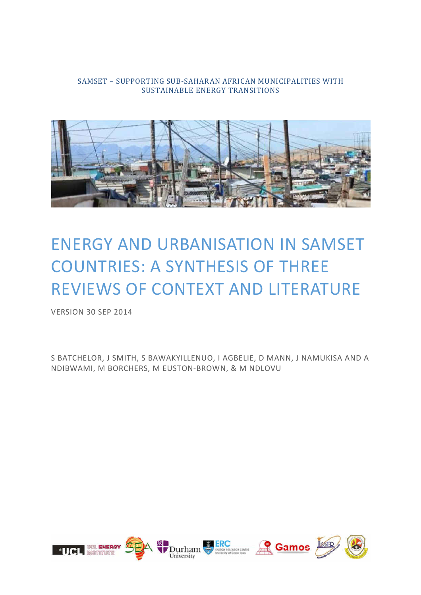### SAMSET – SUPPORTING SUB-SAHARAN AFRICAN MUNICIPALITIES WITH SUSTAINABLE ENERGY TRANSITIONS



# ENERGY AND URBANISATION IN SAMSET COUNTRIES: A SYNTHESIS OF THREE REVIEWS OF CONTEXT AND LITERATURE

VERSION 30 SEP 2014

S BATCHELOR, J SMITH, S BAWAKYILLENUO, I AGBELIE, D MANN, J NAMUKISA AND A NDIBWAMI, M BORCHERS, M EUSTON-BROWN, & M NDLOVU

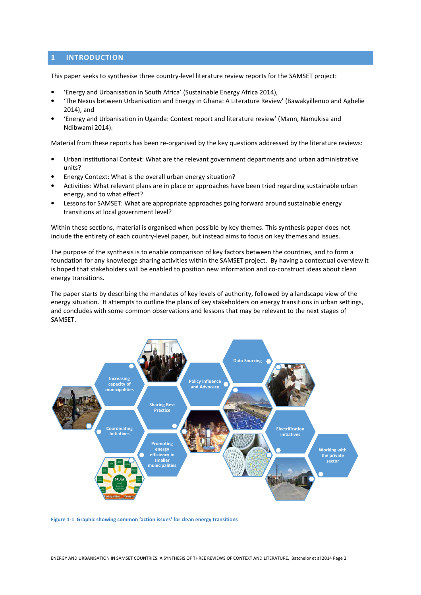### **1 INTRODUCTION**

This paper seeks to synthesise three country-level literature review reports for the SAMSET project:

- 'Energy and Urbanisation in South Africa' (Sustainable Energy Africa 2014),
- 'The Nexus between Urbanisation and Energy in Ghana: A Literature Review' (Bawakyillenuo and Agbelie 2014), and
- 'Energy and Urbanisation in Uganda: Context report and literature review' (Mann, Namukisa and Ndibwami 2014).

Material from these reports has been re-organised by the key questions addressed by the literature reviews:

- Urban Institutional Context: What are the relevant government departments and urban administrative units?
- Energy Context: What is the overall urban energy situation?
- Activities: What relevant plans are in place or approaches have been tried regarding sustainable urban energy, and to what effect?
- Lessons for SAMSET: What are appropriate approaches going forward around sustainable energy transitions at local government level?

Within these sections, material is organised when possible by key themes. This synthesis paper does not include the entirety of each country-level paper, but instead aims to focus on key themes and issues.

The purpose of the synthesis is to enable comparison of key factors between the countries, and to form a foundation for any knowledge sharing activities within the SAMSET project. By having a contextual overview it is hoped that stakeholders will be enabled to position new information and co-construct ideas about clean energy transitions.

The paper starts by describing the mandates of key levels of authority, followed by a landscape view of the energy situation. It attempts to outline the plans of key stakeholders on energy transitions in urban settings, and concludes with some common observations and lessons that may be relevant to the next stages of SAMSET.



**Figure 1-1 Graphic showing common 'action issues' for clean energy transitions**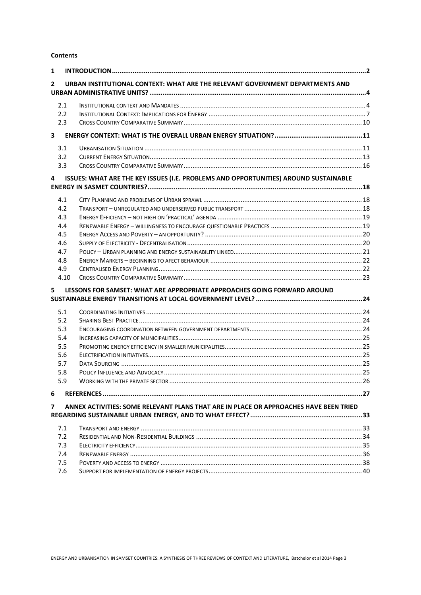**Contents** 

| 1                       |            |                                                                                       |  |
|-------------------------|------------|---------------------------------------------------------------------------------------|--|
| $\mathbf{2}$            |            | URBAN INSTITUTIONAL CONTEXT: WHAT ARE THE RELEVANT GOVERNMENT DEPARTMENTS AND         |  |
|                         | 2.1        |                                                                                       |  |
|                         | 2.2        |                                                                                       |  |
|                         | 2.3        |                                                                                       |  |
| $\overline{\mathbf{3}}$ |            |                                                                                       |  |
|                         | 3.1        |                                                                                       |  |
|                         | 3.2        |                                                                                       |  |
|                         | 3.3        |                                                                                       |  |
| 4                       |            | ISSUES: WHAT ARE THE KEY ISSUES (I.E. PROBLEMS AND OPPORTUNITIES) AROUND SUSTAINABLE  |  |
|                         | 4.1        |                                                                                       |  |
|                         | 4.2        |                                                                                       |  |
|                         | 4.3        |                                                                                       |  |
|                         | 4.4        |                                                                                       |  |
|                         | 4.5        |                                                                                       |  |
|                         | 4.6        |                                                                                       |  |
|                         | 4.7        |                                                                                       |  |
|                         | 4.8        |                                                                                       |  |
|                         | 4.9        |                                                                                       |  |
|                         | 4.10       |                                                                                       |  |
| 5.                      |            | LESSONS FOR SAMSET: WHAT ARE APPROPRIATE APPROACHES GOING FORWARD AROUND              |  |
|                         |            |                                                                                       |  |
|                         | 5.1        |                                                                                       |  |
|                         | 5.2        |                                                                                       |  |
|                         | 5.3        |                                                                                       |  |
|                         | 5.4        |                                                                                       |  |
|                         | 5.5<br>5.6 |                                                                                       |  |
|                         | 5.7        |                                                                                       |  |
|                         | 5.8        |                                                                                       |  |
|                         | 5.9        |                                                                                       |  |
| 6                       |            |                                                                                       |  |
| $\overline{7}$          |            |                                                                                       |  |
|                         |            | ANNEX ACTIVITIES: SOME RELEVANT PLANS THAT ARE IN PLACE OR APPROACHES HAVE BEEN TRIED |  |
|                         | 7.1        |                                                                                       |  |
|                         | 7.2        |                                                                                       |  |
|                         | 7.3        |                                                                                       |  |
|                         | 7.4        |                                                                                       |  |
|                         | 7.5        |                                                                                       |  |
|                         | 7.6        |                                                                                       |  |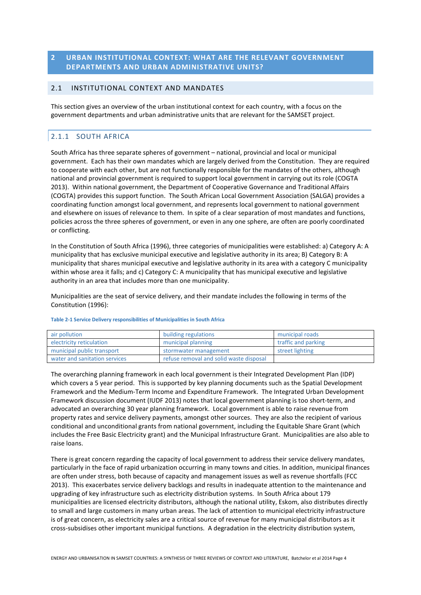### **2 URBAN INSTITUTIONAL CONTEXT: WHAT ARE THE RELEVANT GOVERNMENT DEPARTMENTS AND URBAN ADMINISTRATIVE UNITS?**

### 2.1 INSTITUTIONAL CONTEXT AND MANDATES

This section gives an overview of the urban institutional context for each country, with a focus on the government departments and urban administrative units that are relevant for the SAMSET project.

### 2.1.1 SOUTH AFRICA

South Africa has three separate spheres of government – national, provincial and local or municipal government. Each has their own mandates which are largely derived from the Constitution. They are required to cooperate with each other, but are not functionally responsible for the mandates of the others, although national and provincial government is required to support local government in carrying out its role (COGTA 2013). Within national government, the Department of Cooperative Governance and Traditional Affairs (COGTA) provides this support function. The South African Local Government Association (SALGA) provides a coordinating function amongst local government, and represents local government to national government and elsewhere on issues of relevance to them. In spite of a clear separation of most mandates and functions, policies across the three spheres of government, or even in any one sphere, are often are poorly coordinated or conflicting.

In the Constitution of South Africa (1996), three categories of municipalities were established: a) Category A: A municipality that has exclusive municipal executive and legislative authority in its area; B) Category B: A municipality that shares municipal executive and legislative authority in its area with a category C municipality within whose area it falls; and c) Category C: A municipality that has municipal executive and legislative authority in an area that includes more than one municipality.

Municipalities are the seat of service delivery, and their mandate includes the following in terms of the Constitution (1996):

| air pollution                 | building regulations                    | municipal roads     |
|-------------------------------|-----------------------------------------|---------------------|
| electricity reticulation      | municipal planning                      | traffic and parking |
| municipal public transport    | stormwater management                   | street lighting     |
| water and sanitation services | refuse removal and solid waste disposal |                     |

#### **Table 2-1 Service Delivery responsibilities of Municipalities in South Africa**

The overarching planning framework in each local government is their Integrated Development Plan (IDP) which covers a 5 year period. This is supported by key planning documents such as the Spatial Development Framework and the Medium-Term Income and Expenditure Framework. The Integrated Urban Development Framework discussion document (IUDF 2013) notes that local government planning is too short-term, and advocated an overarching 30 year planning framework. Local government is able to raise revenue from property rates and service delivery payments, amongst other sources. They are also the recipient of various conditional and unconditional grants from national government, including the Equitable Share Grant (which includes the Free Basic Electricity grant) and the Municipal Infrastructure Grant. Municipalities are also able to raise loans.

There is great concern regarding the capacity of local government to address their service delivery mandates, particularly in the face of rapid urbanization occurring in many towns and cities. In addition, municipal finances are often under stress, both because of capacity and management issues as well as revenue shortfalls (FCC 2013). This exacerbates service delivery backlogs and results in inadequate attention to the maintenance and upgrading of key infrastructure such as electricity distribution systems. In South Africa about 179 municipalities are licensed electricity distributors, although the national utility, Eskom, also distributes directly to small and large customers in many urban areas. The lack of attention to municipal electricity infrastructure is of great concern, as electricity sales are a critical source of revenue for many municipal distributors as it cross-subsidises other important municipal functions. A degradation in the electricity distribution system,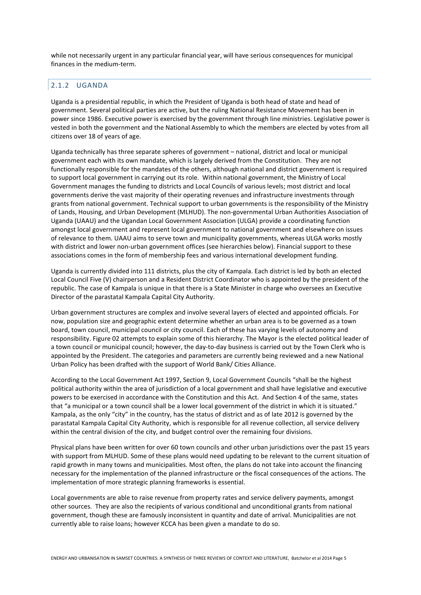while not necessarily urgent in any particular financial year, will have serious consequences for municipal finances in the medium-term.

### 2.1.2 UGANDA

Uganda is a presidential republic, in which the President of Uganda is both head of state and head of government. Several political parties are active, but the ruling National Resistance Movement has been in power since 1986. Executive power is exercised by the government through line ministries. Legislative power is vested in both the government and the National Assembly to which the members are elected by votes from all citizens over 18 of years of age.

Uganda technically has three separate spheres of government – national, district and local or municipal government each with its own mandate, which is largely derived from the Constitution. They are not functionally responsible for the mandates of the others, although national and district government is required to support local government in carrying out its role. Within national government, the Ministry of Local Government manages the funding to districts and Local Councils of various levels; most district and local governments derive the vast majority of their operating revenues and infrastructure investments through grants from national government. Technical support to urban governments is the responsibility of the Ministry of Lands, Housing, and Urban Development (MLHUD). The non-governmental Urban Authorities Association of Uganda (UAAU) and the Ugandan Local Government Association (ULGA) provide a coordinating function amongst local government and represent local government to national government and elsewhere on issues of relevance to them. UAAU aims to serve town and municipality governments, whereas ULGA works mostly with district and lower non-urban government offices (see hierarchies below). Financial support to these associations comes in the form of membership fees and various international development funding.

Uganda is currently divided into 111 districts, plus the city of Kampala. Each district is led by both an elected Local Council Five (V) chairperson and a Resident District Coordinator who is appointed by the president of the republic. The case of Kampala is unique in that there is a State Minister in charge who oversees an Executive Director of the parastatal Kampala Capital City Authority.

Urban government structures are complex and involve several layers of elected and appointed officials. For now, population size and geographic extent determine whether an urban area is to be governed as a town board, town council, municipal council or city council. Each of these has varying levels of autonomy and responsibility. Figure 02 attempts to explain some of this hierarchy. The Mayor is the elected political leader of a town council or municipal council; however, the day-to-day business is carried out by the Town Clerk who is appointed by the President. The categories and parameters are currently being reviewed and a new National Urban Policy has been drafted with the support of World Bank/ Cities Alliance.

According to the Local Government Act 1997, Section 9, Local Government Councils "shall be the highest political authority within the area of jurisdiction of a local government and shall have legislative and executive powers to be exercised in accordance with the Constitution and this Act. And Section 4 of the same, states that "a municipal or a town council shall be a lower local government of the district in which it is situated." Kampala, as the only "city" in the country, has the status of district and as of late 2012 is governed by the parastatal Kampala Capital City Authority, which is responsible for all revenue collection, all service delivery within the central division of the city, and budget control over the remaining four divisions.

Physical plans have been written for over 60 town councils and other urban jurisdictions over the past 15 years with support from MLHUD. Some of these plans would need updating to be relevant to the current situation of rapid growth in many towns and municipalities. Most often, the plans do not take into account the financing necessary for the implementation of the planned infrastructure or the fiscal consequences of the actions. The implementation of more strategic planning frameworks is essential.

Local governments are able to raise revenue from property rates and service delivery payments, amongst other sources. They are also the recipients of various conditional and unconditional grants from national government, though these are famously inconsistent in quantity and date of arrival. Municipalities are not currently able to raise loans; however KCCA has been given a mandate to do so.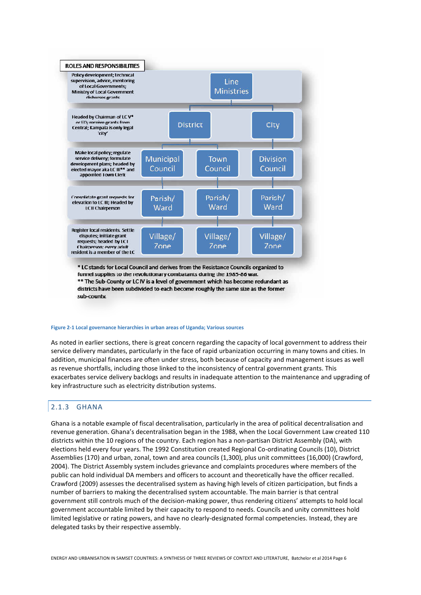

sub-county.

#### **Figure 2-1 Local governance hierarchies in urban areas of Uganda; Various sources**

As noted in earlier sections, there is great concern regarding the capacity of local government to address their service delivery mandates, particularly in the face of rapid urbanization occurring in many towns and cities. In addition, municipal finances are often under stress, both because of capacity and management issues as well as revenue shortfalls, including those linked to the inconsistency of central government grants. This exacerbates service delivery backlogs and results in inadequate attention to the maintenance and upgrading of key infrastructure such as electricity distribution systems.

### 2.1.3 GHANA

Ghana is a notable example of fiscal decentralisation, particularly in the area of political decentralisation and revenue generation. Ghana's decentralisation began in the 1988, when the Local Government Law created 110 districts within the 10 regions of the country. Each region has a non-partisan District Assembly (DA), with elections held every four years. The 1992 Constitution created Regional Co-ordinating Councils (10), District Assemblies (170) and urban, zonal, town and area councils (1,300), plus unit committees (16,000) (Crawford, 2004). The District Assembly system includes grievance and complaints procedures where members of the public can hold individual DA members and officers to account and theoretically have the officer recalled. Crawford (2009) assesses the decentralised system as having high levels of citizen participation, but finds a number of barriers to making the decentralised system accountable. The main barrier is that central government still controls much of the decision-making power, thus rendering citizens' attempts to hold local government accountable limited by their capacity to respond to needs. Councils and unity committees hold limited legislative or rating powers, and have no clearly-designated formal competencies. Instead, they are delegated tasks by their respective assembly.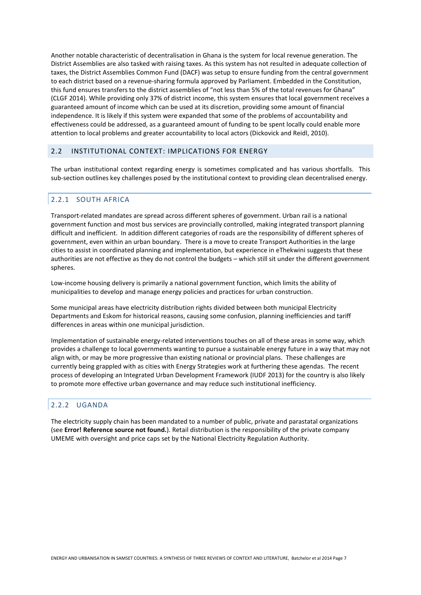Another notable characteristic of decentralisation in Ghana is the system for local revenue generation. The District Assemblies are also tasked with raising taxes. As this system has not resulted in adequate collection of taxes, the District Assemblies Common Fund (DACF) was setup to ensure funding from the central government to each district based on a revenue-sharing formula approved by Parliament. Embedded in the Constitution, this fund ensures transfers to the district assemblies of "not less than 5% of the total revenues for Ghana" (CLGF 2014). While providing only 37% of district income, this system ensures that local government receives a guaranteed amount of income which can be used at its discretion, providing some amount of financial independence. It is likely if this system were expanded that some of the problems of accountability and effectiveness could be addressed, as a guaranteed amount of funding to be spent locally could enable more attention to local problems and greater accountability to local actors (Dickovick and Reidl, 2010).

### 2.2 INSTITUTIONAL CONTEXT: IMPLICATIONS FOR ENERGY

The urban institutional context regarding energy is sometimes complicated and has various shortfalls. This sub-section outlines key challenges posed by the institutional context to providing clean decentralised energy.

### 2.2.1 SOUTH AFRICA

Transport-related mandates are spread across different spheres of government. Urban rail is a national government function and most bus services are provincially controlled, making integrated transport planning difficult and inefficient. In addition different categories of roads are the responsibility of different spheres of government, even within an urban boundary. There is a move to create Transport Authorities in the large cities to assist in coordinated planning and implementation, but experience in eThekwini suggests that these authorities are not effective as they do not control the budgets – which still sit under the different government spheres.

Low-income housing delivery is primarily a national government function, which limits the ability of municipalities to develop and manage energy policies and practices for urban construction.

Some municipal areas have electricity distribution rights divided between both municipal Electricity Departments and Eskom for historical reasons, causing some confusion, planning inefficiencies and tariff differences in areas within one municipal jurisdiction.

Implementation of sustainable energy-related interventions touches on all of these areas in some way, which provides a challenge to local governments wanting to pursue a sustainable energy future in a way that may not align with, or may be more progressive than existing national or provincial plans. These challenges are currently being grappled with as cities with Energy Strategies work at furthering these agendas. The recent process of developing an Integrated Urban Development Framework (IUDF 2013) for the country is also likely to promote more effective urban governance and may reduce such institutional inefficiency.

### 2.2.2 UGANDA

The electricity supply chain has been mandated to a number of public, private and parastatal organizations (see **Error! Reference source not found.**). Retail distribution is the responsibility of the private company UMEME with oversight and price caps set by the National Electricity Regulation Authority.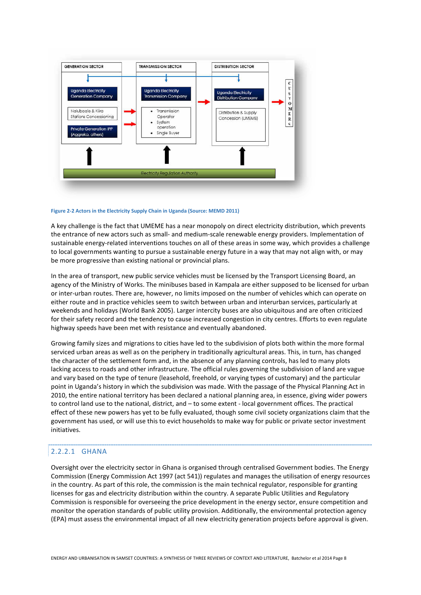

#### **Figure 2-2 Actors in the Electricity Supply Chain in Uganda (Source: MEMD 2011)**

A key challenge is the fact that UMEME has a near monopoly on direct electricity distribution, which prevents the entrance of new actors such as small- and medium-scale renewable energy providers. Implementation of sustainable energy-related interventions touches on all of these areas in some way, which provides a challenge to local governments wanting to pursue a sustainable energy future in a way that may not align with, or may be more progressive than existing national or provincial plans.

In the area of transport, new public service vehicles must be licensed by the Transport Licensing Board, an agency of the Ministry of Works. The minibuses based in Kampala are either supposed to be licensed for urban or inter-urban routes. There are, however, no limits imposed on the number of vehicles which can operate on either route and in practice vehicles seem to switch between urban and interurban services, particularly at weekends and holidays (World Bank 2005). Larger intercity buses are also ubiquitous and are often criticized for their safety record and the tendency to cause increased congestion in city centres. Efforts to even regulate highway speeds have been met with resistance and eventually abandoned.

Growing family sizes and migrations to cities have led to the subdivision of plots both within the more formal serviced urban areas as well as on the periphery in traditionally agricultural areas. This, in turn, has changed the character of the settlement form and, in the absence of any planning controls, has led to many plots lacking access to roads and other infrastructure. The official rules governing the subdivision of land are vague and vary based on the type of tenure (leasehold, freehold, or varying types of customary) and the particular point in Uganda's history in which the subdivision was made. With the passage of the Physical Planning Act in 2010, the entire national territory has been declared a national planning area, in essence, giving wider powers to control land use to the national, district, and – to some extent - local government offices. The practical effect of these new powers has yet to be fully evaluated, though some civil society organizations claim that the government has used, or will use this to evict households to make way for public or private sector investment initiatives.

#### 2.2.2.1 GHANA

Oversight over the electricity sector in Ghana is organised through centralised Government bodies. The Energy Commission (Energy Commission Act 1997 (act 541)) regulates and manages the utilisation of energy resources in the country. As part of this role, the commission is the main technical regulator, responsible for granting licenses for gas and electricity distribution within the country. A separate Public Utilities and Regulatory Commission is responsible for overseeing the price development in the energy sector, ensure competition and monitor the operation standards of public utility provision. Additionally, the environmental protection agency (EPA) must assess the environmental impact of all new electricity generation projects before approval is given.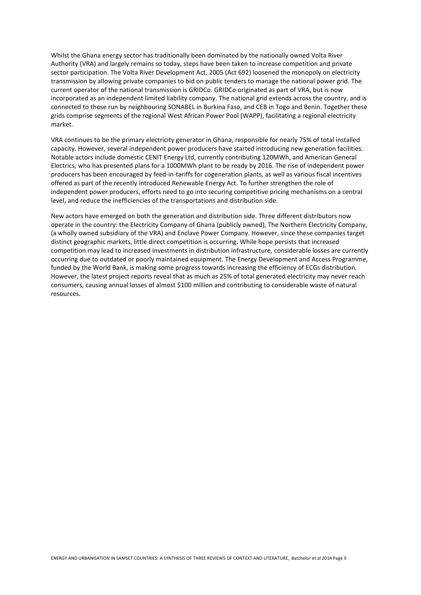Whilst the Ghana energy sector has traditionally been dominated by the nationally owned Volta River Authority (VRA) and largely remains so today, steps have been taken to increase competition and private sector participation. The Volta River Development Act, 2005 (Act 692) loosened the monopoly on electricity transmission by allowing private companies to bid on public tenders to manage the national power grid. The current operator of the national transmission is GRIDCo. GRIDCo originated as part of VRA, but is now incorporated as an independent limited liability company. The national grid extends across the country, and is connected to those run by neighbouring SONABEL in Burkina Faso, and CEB in Togo and Benin. Together these grids comprise segments of the regional West African Power Pool (WAPP), facilitating a regional electricity market.

VRA continues to be the primary electricity generator in Ghana, responsible for nearly 75% of total installed capacity. However, several independent power producers have started introducing new generation facilities. Notable actors include domestic CENIT Energy Ltd, currently contributing 120MWh, and American General Electrics, who has presented plans for a 1000MWh plant to be ready by 2016. The rise of independent power producers has been encouraged by feed-in-tariffs for cogeneration plants, as well as various fiscal incentives offered as part of the recently introduced Renewable Energy Act. To further strengthen the role of independent power producers, efforts need to go into securing competitive pricing mechanisms on a central level, and reduce the inefficiencies of the transportations and distribution side.

New actors have emerged on both the generation and distribution side. Three different distributors now operate in the country: the Electricity Company of Ghana (publicly owned), The Northern Electricity Company, (a wholly owned subsidiary of the VRA) and Enclave Power Company. However, since these companies target distinct geographic markets, little direct competition is occurring. While hope persists that increased competition may lead to increased investments in distribution infrastructure, considerable losses are currently occurring due to outdated or poorly maintained equipment. The Energy Development and Access Programme, funded by the World Bank, is making some progress towards increasing the efficiency of ECGs distribution. However, the latest project reports reveal that as much as 25% of total generated electricity may never reach consumers, causing annual losses of almost \$100 million and contributing to considerable waste of natural resources.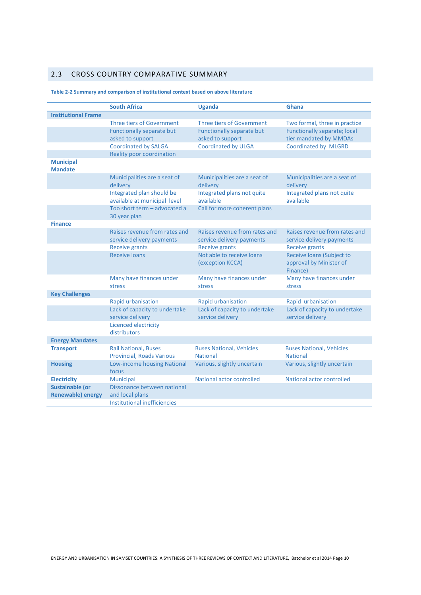### 2.3 CROSS COUNTRY COMPARATIVE SUMMARY

#### **South Africa Contract Contract Contract Contract Contract Contract Contract Contract Contract Contract Contract Contract Contract Contract Contract Contract Contract Contract Contract Contract Contract Contract Contract Institutional Frame**  Three tiers of Government Three tiers of Government Two formal, three in practice Functionally separate but asked to support Functionally separate but asked to support Functionally separate; local tier mandated by MMDAs Coordinated by SALGA Coordinated by ULGA Coordinated by MLGRD Reality poor coordination **Municipal Mandate**  Municipalities are a seat of delivery Municipalities are a seat of delivery Municipalities are a seat of delivery Integrated plan should be available at municipal level Integrated plans not quite available Integrated plans not quite available Too short term – advocated a 30 year plan Call for more coherent plans **Finance**  Raises revenue from rates and service delivery payments Raises revenue from rates and service delivery payments Raises revenue from rates and service delivery payments Receive grants **Receive grants** Receive grants Receive grants Receive loans Not able to receive loans (exception KCCA) Receive loans (Subject to approval by Minister of Finance) Many have finances under stress Many have finances under stress Many have finances under stress **Key Challenges**  Rapid urbanisation Rapid urbanisation Rapid urbanisation Lack of capacity to undertake service delivery Lack of capacity to undertake service delivery Lack of capacity to undertake service delivery Licenced electricity distributors **Energy Mandates Transport Rail National, Buses** Provincial, Roads Various Buses National, Vehicles National Buses National, Vehicles National **Housing** Low-income housing National focus Various, slightly uncertain Various, slightly uncertain **Electricity Municipal National actor controlled** National actor controlled National actor controlled **Sustainable (or Renewable) energy**  Dissonance between national and local plans Institutional inefficiencies

#### **Table 2-2 Summary and comparison of institutional context based on above literature**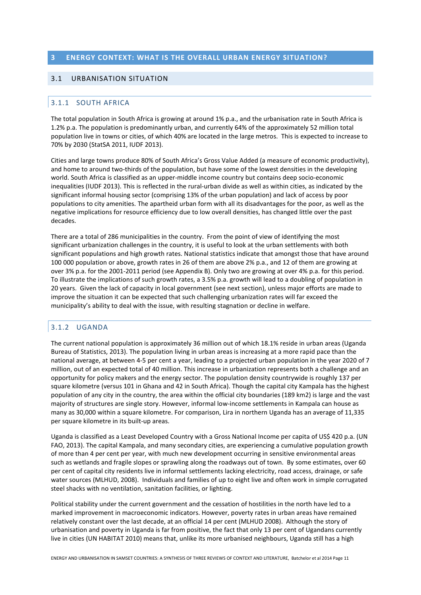### **3 ENERGY CONTEXT: WHAT IS THE OVERALL URBAN ENERGY SITUATION?**

### 3.1 URBANISATION SITUATION

### 3.1.1 SOUTH AFRICA

The total population in South Africa is growing at around 1% p.a., and the urbanisation rate in South Africa is 1.2% p.a. The population is predominantly urban, and currently 64% of the approximately 52 million total population live in towns or cities, of which 40% are located in the large metros. This is expected to increase to 70% by 2030 (StatSA 2011, IUDF 2013).

Cities and large towns produce 80% of South Africa's Gross Value Added (a measure of economic productivity), and home to around two-thirds of the population, but have some of the lowest densities in the developing world. South Africa is classified as an upper-middle income country but contains deep socio-economic inequalities (IUDF 2013). This is reflected in the rural-urban divide as well as within cities, as indicated by the significant informal housing sector (comprising 13% of the urban population) and lack of access by poor populations to city amenities. The apartheid urban form with all its disadvantages for the poor, as well as the negative implications for resource efficiency due to low overall densities, has changed little over the past decades.

There are a total of 286 municipalities in the country. From the point of view of identifying the most significant urbanization challenges in the country, it is useful to look at the urban settlements with both significant populations and high growth rates. National statistics indicate that amongst those that have around 100 000 population or above, growth rates in 26 of them are above 2% p.a., and 12 of them are growing at over 3% p.a. for the 2001-2011 period (see Appendix B). Only two are growing at over 4% p.a. for this period. To illustrate the implications of such growth rates, a 3.5% p.a. growth will lead to a doubling of population in 20 years. Given the lack of capacity in local government (see next section), unless major efforts are made to improve the situation it can be expected that such challenging urbanization rates will far exceed the municipality's ability to deal with the issue, with resulting stagnation or decline in welfare.

### 3.1.2 UGANDA

The current national population is approximately 36 million out of which 18.1% reside in urban areas (Uganda Bureau of Statistics, 2013). The population living in urban areas is increasing at a more rapid pace than the national average, at between 4-5 per cent a year, leading to a projected urban population in the year 2020 of 7 million, out of an expected total of 40 million. This increase in urbanization represents both a challenge and an opportunity for policy makers and the energy sector. The population density countrywide is roughly 137 per square kilometre (versus 101 in Ghana and 42 in South Africa). Though the capital city Kampala has the highest population of any city in the country, the area within the official city boundaries (189 km2) is large and the vast majority of structures are single story. However, informal low-income settlements in Kampala can house as many as 30,000 within a square kilometre. For comparison, Lira in northern Uganda has an average of 11,335 per square kilometre in its built-up areas.

Uganda is classified as a Least Developed Country with a Gross National Income per capita of US\$ 420 p.a. (UN FAO, 2013). The capital Kampala, and many secondary cities, are experiencing a cumulative population growth of more than 4 per cent per year, with much new development occurring in sensitive environmental areas such as wetlands and fragile slopes or sprawling along the roadways out of town. By some estimates, over 60 per cent of capital city residents live in informal settlements lacking electricity, road access, drainage, or safe water sources (MLHUD, 2008). Individuals and families of up to eight live and often work in simple corrugated steel shacks with no ventilation, sanitation facilities, or lighting.

Political stability under the current government and the cessation of hostilities in the north have led to a marked improvement in macroeconomic indicators. However, poverty rates in urban areas have remained relatively constant over the last decade, at an official 14 per cent (MLHUD 2008). Although the story of urbanisation and poverty in Uganda is far from positive, the fact that only 13 per cent of Ugandans currently live in cities (UN HABITAT 2010) means that, unlike its more urbanised neighbours, Uganda still has a high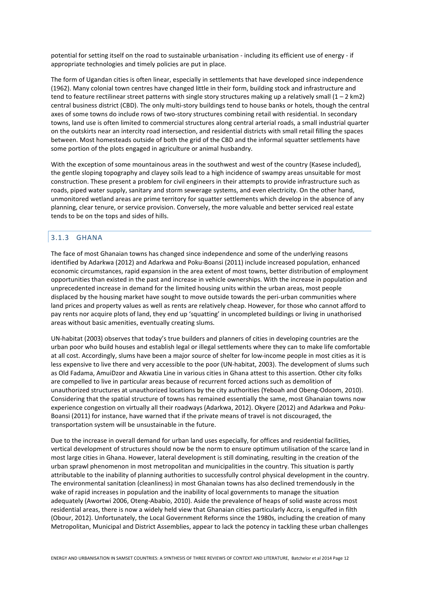potential for setting itself on the road to sustainable urbanisation - including its efficient use of energy - if appropriate technologies and timely policies are put in place.

The form of Ugandan cities is often linear, especially in settlements that have developed since independence (1962). Many colonial town centres have changed little in their form, building stock and infrastructure and tend to feature rectilinear street patterns with single story structures making up a relatively small  $(1 - 2 \text{ km2})$ central business district (CBD). The only multi-story buildings tend to house banks or hotels, though the central axes of some towns do include rows of two-story structures combining retail with residential. In secondary towns, land use is often limited to commercial structures along central arterial roads, a small industrial quarter on the outskirts near an intercity road intersection, and residential districts with small retail filling the spaces between. Most homesteads outside of both the grid of the CBD and the informal squatter settlements have some portion of the plots engaged in agriculture or animal husbandry.

With the exception of some mountainous areas in the southwest and west of the country (Kasese included), the gentle sloping topography and clayey soils lead to a high incidence of swampy areas unsuitable for most construction. These present a problem for civil engineers in their attempts to provide infrastructure such as roads, piped water supply, sanitary and storm sewerage systems, and even electricity. On the other hand, unmonitored wetland areas are prime territory for squatter settlements which develop in the absence of any planning, clear tenure, or service provision. Conversely, the more valuable and better serviced real estate tends to be on the tops and sides of hills.

### 3.1.3 GHANA

The face of most Ghanaian towns has changed since independence and some of the underlying reasons identified by Adarkwa (2012) and Adarkwa and Poku-Boansi (2011) include increased population, enhanced economic circumstances, rapid expansion in the area extent of most towns, better distribution of employment opportunities than existed in the past and increase in vehicle ownerships. With the increase in population and unprecedented increase in demand for the limited housing units within the urban areas, most people displaced by the housing market have sought to move outside towards the peri-urban communities where land prices and property values as well as rents are relatively cheap. However, for those who cannot afford to pay rents nor acquire plots of land, they end up 'squatting' in uncompleted buildings or living in unathorised areas without basic amenities, eventually creating slums.

UN-habitat (2003) observes that today's true builders and planners of cities in developing countries are the urban poor who build houses and establish legal or illegal settlements where they can to make life comfortable at all cost. Accordingly, slums have been a major source of shelter for low-income people in most cities as it is less expensive to live there and very accessible to the poor (UN-habitat, 2003). The development of slums such as Old Fadama, AmuiDzor and Akwatia Line in various cities in Ghana attest to this assertion. Other city folks are compelled to live in particular areas because of recurrent forced actions such as demolition of unauthorized structures at unauthorized locations by the city authorities (Yeboah and Obeng-Odoom, 2010). Considering that the spatial structure of towns has remained essentially the same, most Ghanaian towns now experience congestion on virtually all their roadways (Adarkwa, 2012). Okyere (2012) and Adarkwa and Poku-Boansi (2011) for instance, have warned that if the private means of travel is not discouraged, the transportation system will be unsustainable in the future.

Due to the increase in overall demand for urban land uses especially, for offices and residential facilities, vertical development of structures should now be the norm to ensure optimum utilisation of the scarce land in most large cities in Ghana. However, lateral development is still dominating, resulting in the creation of the urban sprawl phenomenon in most metropolitan and municipalities in the country. This situation is partly attributable to the inability of planning authorities to successfully control physical development in the country. The environmental sanitation (cleanliness) in most Ghanaian towns has also declined tremendously in the wake of rapid increases in population and the inability of local governments to manage the situation adequately (Awortwi 2006, Oteng-Ababio, 2010). Aside the prevalence of heaps of solid waste across most residential areas, there is now a widely held view that Ghanaian cities particularly Accra, is engulfed in filth (Obour, 2012). Unfortunately, the Local Government Reforms since the 1980s, including the creation of many Metropolitan, Municipal and District Assemblies, appear to lack the potency in tackling these urban challenges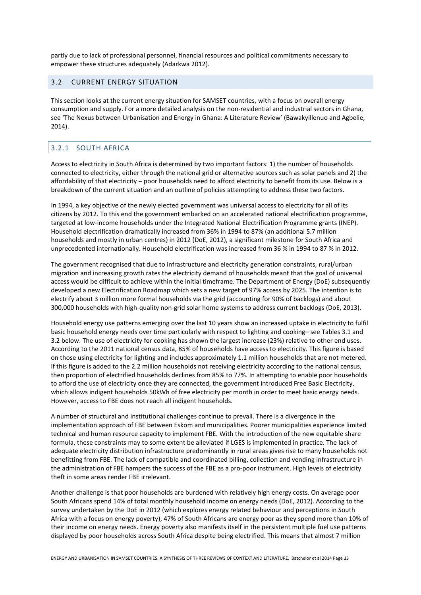partly due to lack of professional personnel, financial resources and political commitments necessary to empower these structures adequately (Adarkwa 2012).

### 3.2 CURRENT ENERGY SITUATION

This section looks at the current energy situation for SAMSET countries, with a focus on overall energy consumption and supply. For a more detailed analysis on the non-residential and industrial sectors in Ghana, see 'The Nexus between Urbanisation and Energy in Ghana: A Literature Review' (Bawakyillenuo and Agbelie, 2014).

### 3.2.1 SOUTH AFRICA

Access to electricity in South Africa is determined by two important factors: 1) the number of households connected to electricity, either through the national grid or alternative sources such as solar panels and 2) the affordability of that electricity – poor households need to afford electricity to benefit from its use. Below is a breakdown of the current situation and an outline of policies attempting to address these two factors.

In 1994, a key objective of the newly elected government was universal access to electricity for all of its citizens by 2012. To this end the government embarked on an accelerated national electrification programme, targeted at low-income households under the Integrated National Electrification Programme grants (INEP). Household electrification dramatically increased from 36% in 1994 to 87% (an additional 5.7 million households and mostly in urban centres) in 2012 (DoE, 2012), a significant milestone for South Africa and unprecedented internationally. Household electrification was increased from 36 % in 1994 to 87 % in 2012.

The government recognised that due to infrastructure and electricity generation constraints, rural/urban migration and increasing growth rates the electricity demand of households meant that the goal of universal access would be difficult to achieve within the initial timeframe. The Department of Energy (DoE) subsequently developed a new Electrification Roadmap which sets a new target of 97% access by 2025. The intention is to electrify about 3 million more formal households via the grid (accounting for 90% of backlogs) and about 300,000 households with high-quality non-grid solar home systems to address current backlogs (DoE, 2013).

Household energy use patterns emerging over the last 10 years show an increased uptake in electricity to fulfil basic household energy needs over time particularly with respect to lighting and cooking– see Tables 3.1 and 3.2 below. The use of electricity for cooking has shown the largest increase (23%) relative to other end uses. According to the 2011 national census data, 85% of households have access to electricity. This figure is based on those using electricity for lighting and includes approximately 1.1 million households that are not metered. If this figure is added to the 2.2 million households not receiving electricity according to the national census, then proportion of electrified households declines from 85% to 77%. In attempting to enable poor households to afford the use of electricity once they are connected, the government introduced Free Basic Electricity, which allows indigent households 50kWh of free electricity per month in order to meet basic energy needs. However, access to FBE does not reach all indigent households.

A number of structural and institutional challenges continue to prevail. There is a divergence in the implementation approach of FBE between Eskom and municipalities. Poorer municipalities experience limited technical and human resource capacity to implement FBE. With the introduction of the new equitable share formula, these constraints may to some extent be alleviated if LGES is implemented in practice. The lack of adequate electricity distribution infrastructure predominantly in rural areas gives rise to many households not benefitting from FBE. The lack of compatible and coordinated billing, collection and vending infrastructure in the administration of FBE hampers the success of the FBE as a pro-poor instrument. High levels of electricity theft in some areas render FBE irrelevant.

Another challenge is that poor households are burdened with relatively high energy costs. On average poor South Africans spend 14% of total monthly household income on energy needs (DoE, 2012). According to the survey undertaken by the DoE in 2012 (which explores energy related behaviour and perceptions in South Africa with a focus on energy poverty), 47% of South Africans are energy poor as they spend more than 10% of their income on energy needs. Energy poverty also manifests itself in the persistent multiple fuel use patterns displayed by poor households across South Africa despite being electrified. This means that almost 7 million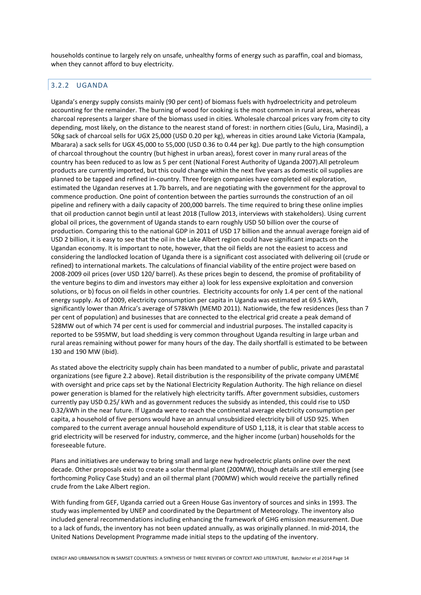households continue to largely rely on unsafe, unhealthy forms of energy such as paraffin, coal and biomass, when they cannot afford to buy electricity.

### 3.2.2 UGANDA

Uganda's energy supply consists mainly (90 per cent) of biomass fuels with hydroelectricity and petroleum accounting for the remainder. The burning of wood for cooking is the most common in rural areas, whereas charcoal represents a larger share of the biomass used in cities. Wholesale charcoal prices vary from city to city depending, most likely, on the distance to the nearest stand of forest: in northern cities (Gulu, Lira, Masindi), a 50kg sack of charcoal sells for UGX 25,000 (USD 0.20 per kg), whereas in cities around Lake Victoria (Kampala, Mbarara) a sack sells for UGX 45,000 to 55,000 (USD 0.36 to 0.44 per kg). Due partly to the high consumption of charcoal throughout the country (but highest in urban areas), forest cover in many rural areas of the country has been reduced to as low as 5 per cent (National Forest Authority of Uganda 2007).All petroleum products are currently imported, but this could change within the next five years as domestic oil supplies are planned to be tapped and refined in-country. Three foreign companies have completed oil exploration, estimated the Ugandan reserves at 1.7b barrels, and are negotiating with the government for the approval to commence production. One point of contention between the parties surrounds the construction of an oil pipeline and refinery with a daily capacity of 200,000 barrels. The time required to bring these online implies that oil production cannot begin until at least 2018 (Tullow 2013, interviews with stakeholders). Using current global oil prices, the government of Uganda stands to earn roughly USD 50 billion over the course of production. Comparing this to the national GDP in 2011 of USD 17 billion and the annual average foreign aid of USD 2 billion, it is easy to see that the oil in the Lake Albert region could have significant impacts on the Ugandan economy. It is important to note, however, that the oil fields are not the easiest to access and considering the landlocked location of Uganda there is a significant cost associated with delivering oil (crude or refined) to international markets. The calculations of financial viability of the entire project were based on 2008-2009 oil prices (over USD 120/ barrel). As these prices begin to descend, the promise of profitability of the venture begins to dim and investors may either a) look for less expensive exploitation and conversion solutions, or b) focus on oil fields in other countries. Electricity accounts for only 1.4 per cent of the national energy supply. As of 2009, electricity consumption per capita in Uganda was estimated at 69.5 kWh, significantly lower than Africa's average of 578kWh (MEMD 2011). Nationwide, the few residences (less than 7 per cent of population) and businesses that are connected to the electrical grid create a peak demand of 528MW out of which 74 per cent is used for commercial and industrial purposes. The installed capacity is reported to be 595MW, but load shedding is very common throughout Uganda resulting in large urban and rural areas remaining without power for many hours of the day. The daily shortfall is estimated to be between 130 and 190 MW (ibid).

As stated above the electricity supply chain has been mandated to a number of public, private and parastatal organizations (see figure 2.2 above). Retail distribution is the responsibility of the private company UMEME with oversight and price caps set by the National Electricity Regulation Authority. The high reliance on diesel power generation is blamed for the relatively high electricity tariffs. After government subsidies, customers currently pay USD 0.25/ kWh and as government reduces the subsidy as intended, this could rise to USD 0.32/kWh in the near future. If Uganda were to reach the continental average electricity consumption per capita, a household of five persons would have an annual unsubsidized electricity bill of USD 925. When compared to the current average annual household expenditure of USD 1,118, it is clear that stable access to grid electricity will be reserved for industry, commerce, and the higher income (urban) households for the foreseeable future.

Plans and initiatives are underway to bring small and large new hydroelectric plants online over the next decade. Other proposals exist to create a solar thermal plant (200MW), though details are still emerging (see forthcoming Policy Case Study) and an oil thermal plant (700MW) which would receive the partially refined crude from the Lake Albert region.

With funding from GEF, Uganda carried out a Green House Gas inventory of sources and sinks in 1993. The study was implemented by UNEP and coordinated by the Department of Meteorology. The inventory also included general recommendations including enhancing the framework of GHG emission measurement. Due to a lack of funds, the inventory has not been updated annually, as was originally planned. In mid-2014, the United Nations Development Programme made initial steps to the updating of the inventory.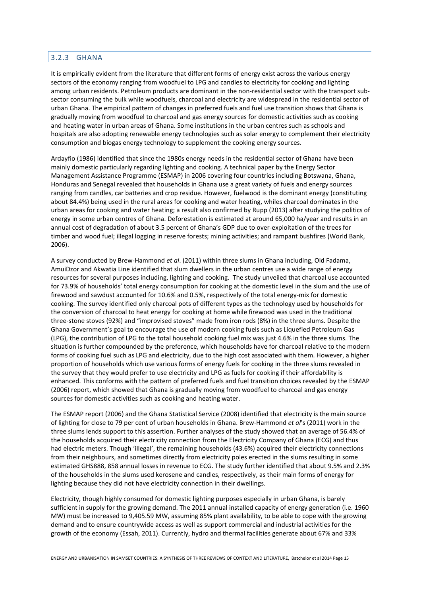### 3.2.3 GHANA

It is empirically evident from the literature that different forms of energy exist across the various energy sectors of the economy ranging from woodfuel to LPG and candles to electricity for cooking and lighting among urban residents. Petroleum products are dominant in the non-residential sector with the transport subsector consuming the bulk while woodfuels, charcoal and electricity are widespread in the residential sector of urban Ghana. The empirical pattern of changes in preferred fuels and fuel use transition shows that Ghana is gradually moving from woodfuel to charcoal and gas energy sources for domestic activities such as cooking and heating water in urban areas of Ghana. Some institutions in the urban centres such as schools and hospitals are also adopting renewable energy technologies such as solar energy to complement their electricity consumption and biogas energy technology to supplement the cooking energy sources.

Ardayfio (1986) identified that since the 1980s energy needs in the residential sector of Ghana have been mainly domestic particularly regarding lighting and cooking. A technical paper by the Energy Sector Management Assistance Programme (ESMAP) in 2006 covering four countries including Botswana, Ghana, Honduras and Senegal revealed that households in Ghana use a great variety of fuels and energy sources ranging from candles, car batteries and crop residue. However, fuelwood is the dominant energy (constituting about 84.4%) being used in the rural areas for cooking and water heating, whiles charcoal dominates in the urban areas for cooking and water heating; a result also confirmed by Rupp (2013) after studying the politics of energy in some urban centres of Ghana. Deforestation is estimated at around 65,000 ha/year and results in an annual cost of degradation of about 3.5 percent of Ghana's GDP due to over-exploitation of the trees for timber and wood fuel; illegal logging in reserve forests; mining activities; and rampant bushfires (World Bank, 2006).

A survey conducted by Brew-Hammond *et al*. (2011) within three slums in Ghana including, Old Fadama, AmuiDzor and Akwatia Line identified that slum dwellers in the urban centres use a wide range of energy resources for several purposes including, lighting and cooking. The study unveiled that charcoal use accounted for 73.9% of households' total energy consumption for cooking at the domestic level in the slum and the use of firewood and sawdust accounted for 10.6% and 0.5%, respectively of the total energy-mix for domestic cooking. The survey identified only charcoal pots of different types as the technology used by households for the conversion of charcoal to heat energy for cooking at home while firewood was used in the traditional three-stone stoves (92%) and "improvised stoves" made from iron rods (8%) in the three slums. Despite the Ghana Government's goal to encourage the use of modern cooking fuels such as Liquefied Petroleum Gas (LPG), the contribution of LPG to the total household cooking fuel mix was just 4.6% in the three slums. The situation is further compounded by the preference, which households have for charcoal relative to the modern forms of cooking fuel such as LPG and electricity, due to the high cost associated with them. However, a higher proportion of households which use various forms of energy fuels for cooking in the three slums revealed in the survey that they would prefer to use electricity and LPG as fuels for cooking if their affordability is enhanced. This conforms with the pattern of preferred fuels and fuel transition choices revealed by the ESMAP (2006) report, which showed that Ghana is gradually moving from woodfuel to charcoal and gas energy sources for domestic activities such as cooking and heating water.

The ESMAP report (2006) and the Ghana Statistical Service (2008) identified that electricity is the main source of lighting for close to 79 per cent of urban households in Ghana. Brew-Hammond *et al*'s (2011) work in the three slums lends support to this assertion. Further analyses of the study showed that an average of 56.4% of the households acquired their electricity connection from the Electricity Company of Ghana (ECG) and thus had electric meters. Though 'illegal', the remaining households (43.6%) acquired their electricity connections from their neighbours, and sometimes directly from electricity poles erected in the slums resulting in some estimated GHS888, 858 annual losses in revenue to ECG. The study further identified that about 9.5% and 2.3% of the households in the slums used kerosene and candles, respectively, as their main forms of energy for lighting because they did not have electricity connection in their dwellings.

Electricity, though highly consumed for domestic lighting purposes especially in urban Ghana, is barely sufficient in supply for the growing demand. The 2011 annual installed capacity of energy generation (i.e. 1960 MW) must be increased to 9,405.59 MW, assuming 85% plant availability, to be able to cope with the growing demand and to ensure countrywide access as well as support commercial and industrial activities for the growth of the economy (Essah, 2011). Currently, hydro and thermal facilities generate about 67% and 33%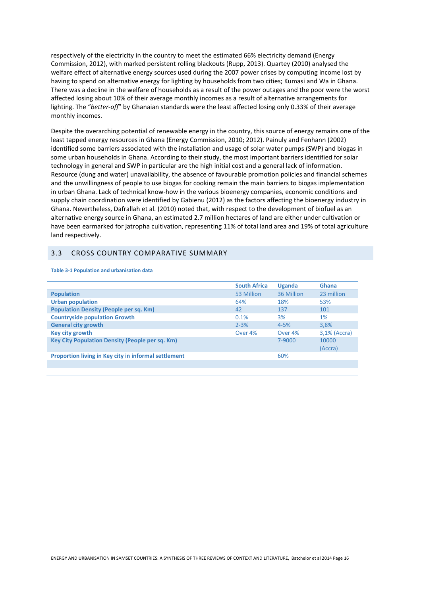respectively of the electricity in the country to meet the estimated 66% electricity demand (Energy Commission, 2012), with marked persistent rolling blackouts (Rupp, 2013). Quartey (2010) analysed the welfare effect of alternative energy sources used during the 2007 power crises by computing income lost by having to spend on alternative energy for lighting by households from two cities; Kumasi and Wa in Ghana. There was a decline in the welfare of households as a result of the power outages and the poor were the worst affected losing about 10% of their average monthly incomes as a result of alternative arrangements for lighting. The "*better-off*" by Ghanaian standards were the least affected losing only 0.33% of their average monthly incomes.

Despite the overarching potential of renewable energy in the country, this source of energy remains one of the least tapped energy resources in Ghana (Energy Commission, 2010; 2012). Painuly and Fenhann (2002) identified some barriers associated with the installation and usage of solar water pumps (SWP) and biogas in some urban households in Ghana. According to their study, the most important barriers identified for solar technology in general and SWP in particular are the high initial cost and a general lack of information. Resource (dung and water) unavailability, the absence of favourable promotion policies and financial schemes and the unwillingness of people to use biogas for cooking remain the main barriers to biogas implementation in urban Ghana. Lack of technical know-how in the various bioenergy companies, economic conditions and supply chain coordination were identified by Gabienu (2012) as the factors affecting the bioenergy industry in Ghana. Nevertheless, Dafrallah et al. (2010) noted that, with respect to the development of biofuel as an alternative energy source in Ghana, an estimated 2.7 million hectares of land are either under cultivation or have been earmarked for jatropha cultivation, representing 11% of total land area and 19% of total agriculture land respectively.

### 3.3 CROSS COUNTRY COMPARATIVE SUMMARY

|                                                      | <b>South Africa</b> | <b>Uganda</b> | <b>Ghana</b> |
|------------------------------------------------------|---------------------|---------------|--------------|
| <b>Population</b>                                    | 53 Million          | 36 Million    | 23 million   |
| <b>Urban population</b>                              | 64%                 | 18%           | 53%          |
| <b>Population Density (People per sq. Km)</b>        | 42                  | 137           | 101          |
| <b>Countryside population Growth</b>                 | 0.1%                | 3%            | 1%           |
| <b>General city growth</b>                           | $2 - 3%$            | $4 - 5%$      | 3.8%         |
| Key city growth                                      | Over 4%             | Over 4%       | 3,1% (Accra) |
| Key City Population Density (People per sq. Km)      |                     | 7-9000        | 10000        |
|                                                      |                     |               | (Accra)      |
| Proportion living in Key city in informal settlement |                     | 60%           |              |
|                                                      |                     |               |              |

#### **Table 3-1 Population and urbanisation data**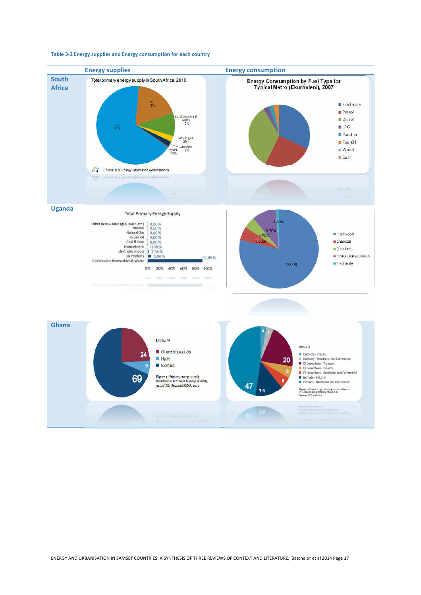

#### **Table 3-2 Energy supplies and Energy consumption for each country**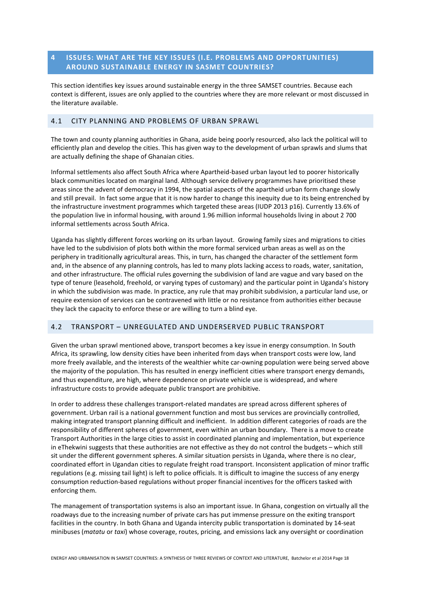### **4 ISSUES: WHAT ARE THE KEY ISSUES (I.E. PROBLEMS AND OPPORTUNITIES) AROUND SUSTAINABLE ENERGY IN SASMET COUNTRIES?**

This section identifies key issues around sustainable energy in the three SAMSET countries. Because each context is different, issues are only applied to the countries where they are more relevant or most discussed in the literature available.

### 4.1 CITY PLANNING AND PROBLEMS OF URBAN SPRAWL

The town and county planning authorities in Ghana, aside being poorly resourced, also lack the political will to efficiently plan and develop the cities. This has given way to the development of urban sprawls and slums that are actually defining the shape of Ghanaian cities.

Informal settlements also affect South Africa where Apartheid-based urban layout led to poorer historically black communities located on marginal land. Although service delivery programmes have prioritised these areas since the advent of democracy in 1994, the spatial aspects of the apartheid urban form change slowly and still prevail. In fact some argue that it is now harder to change this inequity due to its being entrenched by the infrastructure investment programmes which targeted these areas (IUDP 2013 p16). Currently 13.6% of the population live in informal housing, with around 1.96 million informal households living in about 2 700 informal settlements across South Africa.

Uganda has slightly different forces working on its urban layout. Growing family sizes and migrations to cities have led to the subdivision of plots both within the more formal serviced urban areas as well as on the periphery in traditionally agricultural areas. This, in turn, has changed the character of the settlement form and, in the absence of any planning controls, has led to many plots lacking access to roads, water, sanitation, and other infrastructure. The official rules governing the subdivision of land are vague and vary based on the type of tenure (leasehold, freehold, or varying types of customary) and the particular point in Uganda's history in which the subdivision was made. In practice, any rule that may prohibit subdivision, a particular land use, or require extension of services can be contravened with little or no resistance from authorities either because they lack the capacity to enforce these or are willing to turn a blind eye.

### 4.2 TRANSPORT – UNREGULATED AND UNDERSERVED PUBLIC TRANSPORT

Given the urban sprawl mentioned above, transport becomes a key issue in energy consumption. In South Africa, its sprawling, low density cities have been inherited from days when transport costs were low, land more freely available, and the interests of the wealthier white car-owning population were being served above the majority of the population. This has resulted in energy inefficient cities where transport energy demands, and thus expenditure, are high, where dependence on private vehicle use is widespread, and where infrastructure costs to provide adequate public transport are prohibitive.

In order to address these challenges transport-related mandates are spread across different spheres of government. Urban rail is a national government function and most bus services are provincially controlled, making integrated transport planning difficult and inefficient. In addition different categories of roads are the responsibility of different spheres of government, even within an urban boundary. There is a move to create Transport Authorities in the large cities to assist in coordinated planning and implementation, but experience in eThekwini suggests that these authorities are not effective as they do not control the budgets – which still sit under the different government spheres. A similar situation persists in Uganda, where there is no clear, coordinated effort in Ugandan cities to regulate freight road transport. Inconsistent application of minor traffic regulations (e.g. missing tail light) is left to police officials. It is difficult to imagine the success of any energy consumption reduction-based regulations without proper financial incentives for the officers tasked with enforcing them.

The management of transportation systems is also an important issue. In Ghana, congestion on virtually all the roadways due to the increasing number of private cars has put immense pressure on the exiting transport facilities in the country. In both Ghana and Uganda intercity public transportation is dominated by 14-seat minibuses (*matatu* or *taxi*) whose coverage, routes, pricing, and emissions lack any oversight or coordination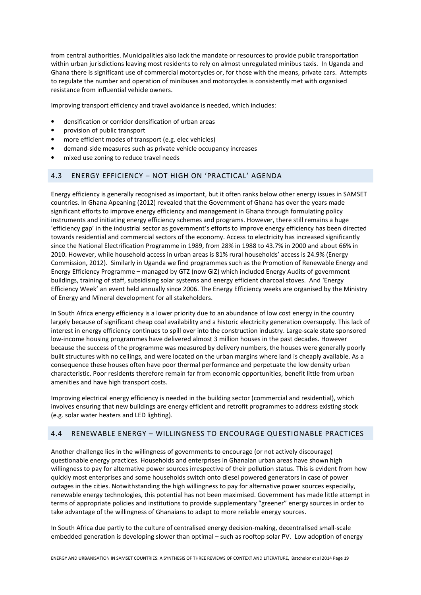from central authorities. Municipalities also lack the mandate or resources to provide public transportation within urban jurisdictions leaving most residents to rely on almost unregulated minibus taxis. In Uganda and Ghana there is significant use of commercial motorcycles or, for those with the means, private cars. Attempts to regulate the number and operation of minibuses and motorcycles is consistently met with organised resistance from influential vehicle owners.

Improving transport efficiency and travel avoidance is needed, which includes:

- densification or corridor densification of urban areas
- provision of public transport
- more efficient modes of transport (e.g. elec vehicles)
- demand-side measures such as private vehicle occupancy increases
- mixed use zoning to reduce travel needs

### 4.3 ENERGY EFFICIENCY – NOT HIGH ON 'PRACTICAL' AGENDA

Energy efficiency is generally recognised as important, but it often ranks below other energy issues in SAMSET countries. In Ghana Apeaning (2012) revealed that the Government of Ghana has over the years made significant efforts to improve energy efficiency and management in Ghana through formulating policy instruments and initiating energy efficiency schemes and programs. However, there still remains a huge 'efficiency gap' in the industrial sector as government's efforts to improve energy efficiency has been directed towards residential and commercial sectors of the economy. Access to electricity has increased significantly since the National Electrification Programme in 1989, from 28% in 1988 to 43.7% in 2000 and about 66% in 2010. However, while household access in urban areas is 81% rural households' access is 24.9% (Energy Commission, 2012). Similarly in Uganda we find programmes such as the Promotion of Renewable Energy and Energy Efficiency Programme **–** managed by GTZ (now GIZ) which included Energy Audits of government buildings, training of staff, subsidising solar systems and energy efficient charcoal stoves. And 'Energy Efficiency Week' an event held annually since 2006. The Energy Efficiency weeks are organised by the Ministry of Energy and Mineral development for all stakeholders.

In South Africa energy efficiency is a lower priority due to an abundance of low cost energy in the country largely because of significant cheap coal availability and a historic electricity generation oversupply. This lack of interest in energy efficiency continues to spill over into the construction industry. Large-scale state sponsored low-income housing programmes have delivered almost 3 million houses in the past decades. However because the success of the programme was measured by delivery numbers, the houses were generally poorly built structures with no ceilings, and were located on the urban margins where land is cheaply available. As a consequence these houses often have poor thermal performance and perpetuate the low density urban characteristic. Poor residents therefore remain far from economic opportunities, benefit little from urban amenities and have high transport costs.

Improving electrical energy efficiency is needed in the building sector (commercial and residential), which involves ensuring that new buildings are energy efficient and retrofit programmes to address existing stock (e.g. solar water heaters and LED lighting).

### 4.4 RENEWABLE ENERGY – WILLINGNESS TO ENCOURAGE QUESTIONABLE PRACTICES

Another challenge lies in the willingness of governments to encourage (or not actively discourage) questionable energy practices. Households and enterprises in Ghanaian urban areas have shown high willingness to pay for alternative power sources irrespective of their pollution status. This is evident from how quickly most enterprises and some households switch onto diesel powered generators in case of power outages in the cities. Notwithstanding the high willingness to pay for alternative power sources especially, renewable energy technologies, this potential has not been maximised. Government has made little attempt in terms of appropriate policies and institutions to provide supplementary "greener" energy sources in order to take advantage of the willingness of Ghanaians to adapt to more reliable energy sources.

In South Africa due partly to the culture of centralised energy decision-making, decentralised small-scale embedded generation is developing slower than optimal – such as rooftop solar PV. Low adoption of energy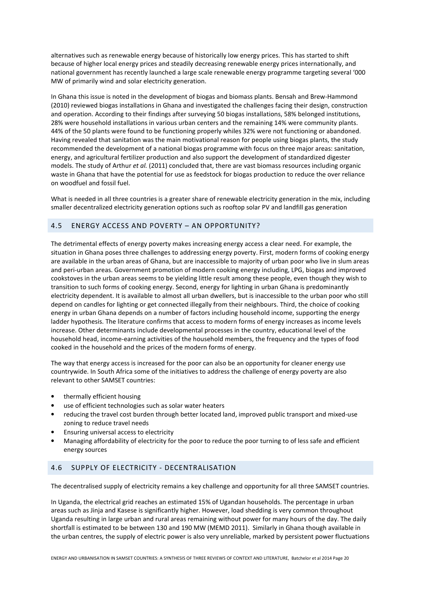alternatives such as renewable energy because of historically low energy prices. This has started to shift because of higher local energy prices and steadily decreasing renewable energy prices internationally, and national government has recently launched a large scale renewable energy programme targeting several '000 MW of primarily wind and solar electricity generation.

In Ghana this issue is noted in the development of biogas and biomass plants. Bensah and Brew-Hammond (2010) reviewed biogas installations in Ghana and investigated the challenges facing their design, construction and operation. According to their findings after surveying 50 biogas installations, 58% belonged institutions, 28% were household installations in various urban centers and the remaining 14% were community plants. 44% of the 50 plants were found to be functioning properly whiles 32% were not functioning or abandoned. Having revealed that sanitation was the main motivational reason for people using biogas plants, the study recommended the development of a national biogas programme with focus on three major areas: sanitation, energy, and agricultural fertilizer production and also support the development of standardized digester models. The study of Arthur *et al.* (2011) concluded that, there are vast biomass resources including organic waste in Ghana that have the potential for use as feedstock for biogas production to reduce the over reliance on woodfuel and fossil fuel.

What is needed in all three countries is a greater share of renewable electricity generation in the mix, including smaller decentralized electricity generation options such as rooftop solar PV and landfill gas generation

### 4.5 ENERGY ACCESS AND POVERTY – AN OPPORTUNITY?

The detrimental effects of energy poverty makes increasing energy access a clear need. For example, the situation in Ghana poses three challenges to addressing energy poverty. First, modern forms of cooking energy are available in the urban areas of Ghana, but are inaccessible to majority of urban poor who live in slum areas and peri-urban areas. Government promotion of modern cooking energy including, LPG, biogas and improved cookstoves in the urban areas seems to be yielding little result among these people, even though they wish to transition to such forms of cooking energy. Second, energy for lighting in urban Ghana is predominantly electricity dependent. It is available to almost all urban dwellers, but is inaccessible to the urban poor who still depend on candles for lighting or get connected illegally from their neighbours. Third, the choice of cooking energy in urban Ghana depends on a number of factors including household income, supporting the energy ladder hypothesis. The literature confirms that access to modern forms of energy increases as income levels increase. Other determinants include developmental processes in the country, educational level of the household head, income-earning activities of the household members, the frequency and the types of food cooked in the household and the prices of the modern forms of energy.

The way that energy access is increased for the poor can also be an opportunity for cleaner energy use countrywide. In South Africa some of the initiatives to address the challenge of energy poverty are also relevant to other SAMSET countries:

- thermally efficient housing
- use of efficient technologies such as solar water heaters
- reducing the travel cost burden through better located land, improved public transport and mixed-use zoning to reduce travel needs
- Ensuring universal access to electricity
- Managing affordability of electricity for the poor to reduce the poor turning to of less safe and efficient energy sources

### 4.6 SUPPLY OF ELECTRICITY - DECENTRALISATION

The decentralised supply of electricity remains a key challenge and opportunity for all three SAMSET countries.

In Uganda, the electrical grid reaches an estimated 15% of Ugandan households. The percentage in urban areas such as Jinja and Kasese is significantly higher. However, load shedding is very common throughout Uganda resulting in large urban and rural areas remaining without power for many hours of the day. The daily shortfall is estimated to be between 130 and 190 MW (MEMD 2011). Similarly in Ghana though available in the urban centres, the supply of electric power is also very unreliable, marked by persistent power fluctuations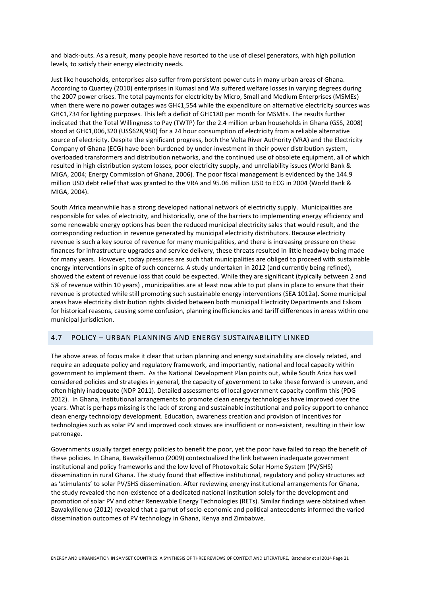and black-outs. As a result, many people have resorted to the use of diesel generators, with high pollution levels, to satisfy their energy electricity needs.

Just like households, enterprises also suffer from persistent power cuts in many urban areas of Ghana. According to Quartey (2010) enterprises in Kumasi and Wa suffered welfare losses in varying degrees during the 2007 power crises. The total payments for electricity by Micro, Small and Medium Enterprises (MSMEs) when there were no power outages was GH¢1,554 while the expenditure on alternative electricity sources was GH¢1,734 for lighting purposes. This left a deficit of GH¢180 per month for MSMEs. The results further indicated that the Total Willingness to Pay (TWTP) for the 2.4 million urban households in Ghana (GSS, 2008) stood at GH¢1,006,320 (US\$628,950) for a 24 hour consumption of electricity from a reliable alternative source of electricity. Despite the significant progress, both the Volta River Authority (VRA) and the Electricity Company of Ghana (ECG) have been burdened by under-investment in their power distribution system, overloaded transformers and distribution networks, and the continued use of obsolete equipment, all of which resulted in high distribution system losses, poor electricity supply, and unreliability issues (World Bank & MIGA, 2004; Energy Commission of Ghana, 2006). The poor fiscal management is evidenced by the 144.9 million USD debt relief that was granted to the VRA and 95.06 million USD to ECG in 2004 (World Bank & MIGA, 2004).

South Africa meanwhile has a strong developed national network of electricity supply. Municipalities are responsible for sales of electricity, and historically, one of the barriers to implementing energy efficiency and some renewable energy options has been the reduced municipal electricity sales that would result, and the corresponding reduction in revenue generated by municipal electricity distributors. Because electricity revenue is such a key source of revenue for many municipalities, and there is increasing pressure on these finances for infrastructure upgrades and service delivery, these threats resulted in little headway being made for many years. However, today pressures are such that municipalities are obliged to proceed with sustainable energy interventions in spite of such concerns. A study undertaken in 2012 (and currently being refined), showed the extent of revenue loss that could be expected. While they are significant (typically between 2 and 5% of revenue within 10 years) , municipalities are at least now able to put plans in place to ensure that their revenue is protected while still promoting such sustainable energy interventions (SEA 1012a). Some municipal areas have electricity distribution rights divided between both municipal Electricity Departments and Eskom for historical reasons, causing some confusion, planning inefficiencies and tariff differences in areas within one municipal jurisdiction.

### 4.7 POLICY – URBAN PLANNING AND ENERGY SUSTAINABILITY LINKED

The above areas of focus make it clear that urban planning and energy sustainability are closely related, and require an adequate policy and regulatory framework, and importantly, national and local capacity within government to implement them. As the National Development Plan points out, while South Arica has well considered policies and strategies in general, the capacity of government to take these forward is uneven, and often highly inadequate (NDP 2011). Detailed assessments of local government capacity confirm this (PDG 2012). In Ghana, institutional arrangements to promote clean energy technologies have improved over the years. What is perhaps missing is the lack of strong and sustainable institutional and policy support to enhance clean energy technology development. Education, awareness creation and provision of incentives for technologies such as solar PV and improved cook stoves are insufficient or non-existent, resulting in their low patronage.

Governments usually target energy policies to benefit the poor, yet the poor have failed to reap the benefit of these policies. In Ghana, Bawakyillenuo (2009) contextualized the link between inadequate government institutional and policy frameworks and the low level of Photovoltaic Solar Home System (PV/SHS) dissemination in rural Ghana. The study found that effective institutional, regulatory and policy structures act as 'stimulants' to solar PV/SHS dissemination. After reviewing energy institutional arrangements for Ghana, the study revealed the non-existence of a dedicated national institution solely for the development and promotion of solar PV and other Renewable Energy Technologies (RETs). Similar findings were obtained when Bawakyillenuo (2012) revealed that a gamut of socio-economic and political antecedents informed the varied dissemination outcomes of PV technology in Ghana, Kenya and Zimbabwe.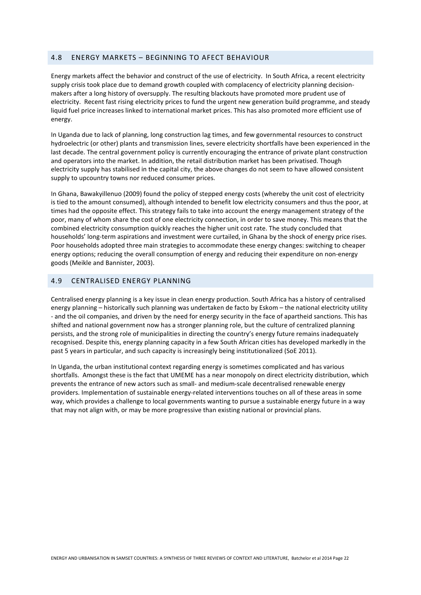### 4.8 ENERGY MARKETS – BEGINNING TO AFECT BEHAVIOUR

Energy markets affect the behavior and construct of the use of electricity. In South Africa, a recent electricity supply crisis took place due to demand growth coupled with complacency of electricity planning decisionmakers after a long history of oversupply. The resulting blackouts have promoted more prudent use of electricity. Recent fast rising electricity prices to fund the urgent new generation build programme, and steady liquid fuel price increases linked to international market prices. This has also promoted more efficient use of energy.

In Uganda due to lack of planning, long construction lag times, and few governmental resources to construct hydroelectric (or other) plants and transmission lines, severe electricity shortfalls have been experienced in the last decade. The central government policy is currently encouraging the entrance of private plant construction and operators into the market. In addition, the retail distribution market has been privatised. Though electricity supply has stabilised in the capital city, the above changes do not seem to have allowed consistent supply to upcountry towns nor reduced consumer prices.

In Ghana, Bawakyillenuo (2009) found the policy of stepped energy costs (whereby the unit cost of electricity is tied to the amount consumed), although intended to benefit low electricity consumers and thus the poor, at times had the opposite effect. This strategy fails to take into account the energy management strategy of the poor, many of whom share the cost of one electricity connection, in order to save money. This means that the combined electricity consumption quickly reaches the higher unit cost rate. The study concluded that households' long-term aspirations and investment were curtailed, in Ghana by the shock of energy price rises. Poor households adopted three main strategies to accommodate these energy changes: switching to cheaper energy options; reducing the overall consumption of energy and reducing their expenditure on non-energy goods (Meikle and Bannister, 2003).

### 4.9 CENTRALISED ENERGY PLANNING

Centralised energy planning is a key issue in clean energy production. South Africa has a history of centralised energy planning – historically such planning was undertaken de facto by Eskom – the national electricity utility - and the oil companies, and driven by the need for energy security in the face of apartheid sanctions. This has shifted and national government now has a stronger planning role, but the culture of centralized planning persists, and the strong role of municipalities in directing the country's energy future remains inadequately recognised. Despite this, energy planning capacity in a few South African cities has developed markedly in the past 5 years in particular, and such capacity is increasingly being institutionalized (SoE 2011).

In Uganda, the urban institutional context regarding energy is sometimes complicated and has various shortfalls. Amongst these is the fact that UMEME has a near monopoly on direct electricity distribution, which prevents the entrance of new actors such as small- and medium-scale decentralised renewable energy providers. Implementation of sustainable energy-related interventions touches on all of these areas in some way, which provides a challenge to local governments wanting to pursue a sustainable energy future in a way that may not align with, or may be more progressive than existing national or provincial plans.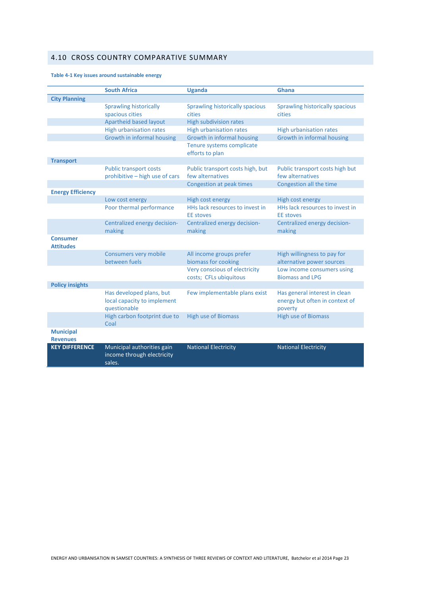# 4.10 CROSS COUNTRY COMPARATIVE SUMMARY

### **Table 4-1 Key issues around sustainable energy**

|                                     | <b>South Africa</b>                                                | <b>Uganda</b>                                           | <b>Ghana</b>                                         |
|-------------------------------------|--------------------------------------------------------------------|---------------------------------------------------------|------------------------------------------------------|
| <b>City Planning</b>                |                                                                    |                                                         |                                                      |
|                                     | <b>Sprawling historically</b>                                      | Sprawling historically spacious                         | Sprawling historically spacious                      |
|                                     | spacious cities                                                    | cities                                                  | cities                                               |
|                                     | Apartheid based layout                                             | <b>High subdivision rates</b>                           |                                                      |
|                                     | <b>High urbanisation rates</b>                                     | <b>High urbanisation rates</b>                          | <b>High urbanisation rates</b>                       |
|                                     | Growth in informal housing                                         | Growth in informal housing                              | Growth in informal housing                           |
|                                     |                                                                    | Tenure systems complicate<br>efforts to plan            |                                                      |
| <b>Transport</b>                    |                                                                    |                                                         |                                                      |
|                                     | <b>Public transport costs</b><br>prohibitive - high use of cars    | Public transport costs high, but<br>few alternatives    | Public transport costs high but<br>few alternatives  |
|                                     |                                                                    | Congestion at peak times                                | Congestion all the time                              |
| <b>Energy Efficiency</b>            |                                                                    |                                                         |                                                      |
|                                     | Low cost energy                                                    | High cost energy                                        | High cost energy                                     |
|                                     | Poor thermal performance                                           | HHs lack resources to invest in                         | HHs lack resources to invest in                      |
|                                     |                                                                    | <b>EE</b> stoves                                        | <b>EE</b> stoves                                     |
|                                     | Centralized energy decision-<br>making                             | Centralized energy decision-<br>making                  | Centralized energy decision-<br>making               |
| <b>Consumer</b><br><b>Attitudes</b> |                                                                    |                                                         |                                                      |
|                                     | <b>Consumers very mobile</b>                                       | All income groups prefer                                | High willingness to pay for                          |
|                                     | between fuels                                                      | biomass for cooking                                     | alternative power sources                            |
|                                     |                                                                    | Very conscious of electricity<br>costs; CFLs ubiquitous | Low income consumers using<br><b>Biomass and LPG</b> |
| <b>Policy insights</b>              |                                                                    |                                                         |                                                      |
|                                     | Has developed plans, but                                           | Few implementable plans exist                           | Has general interest in clean                        |
|                                     | local capacity to implement<br>questionable                        |                                                         | energy but often in context of<br>poverty            |
|                                     | High carbon footprint due to<br>Coal                               | <b>High use of Biomass</b>                              | <b>High use of Biomass</b>                           |
| <b>Municipal</b><br><b>Revenues</b> |                                                                    |                                                         |                                                      |
| <b>KEY DIFFERENCE</b>               | Municipal authorities gain<br>income through electricity<br>sales. | <b>National Electricity</b>                             | <b>National Electricity</b>                          |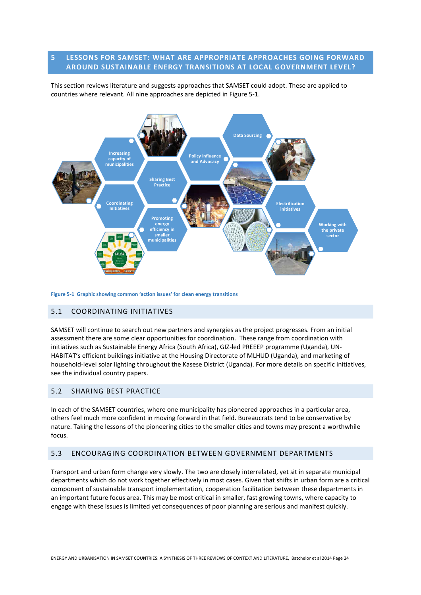### **5 LESSONS FOR SAMSET: WHAT ARE APPROPRIATE APPROACHES GOING FORWARD AROUND SUSTAINABLE ENERGY TRANSITIONS AT LOCAL GOVERNMENT LEVEL?**

This section reviews literature and suggests approaches that SAMSET could adopt. These are applied to countries where relevant. All nine approaches are depicted in Figure 5-1.



**Figure 5-1 Graphic showing common 'action issues' for clean energy transitions** 

### 5.1 COORDINATING INITIATIVES

SAMSET will continue to search out new partners and synergies as the project progresses. From an initial assessment there are some clear opportunities for coordination. These range from coordination with initiatives such as Sustainable Energy Africa (South Africa), GIZ-led PREEEP programme (Uganda), UN-HABITAT's efficient buildings initiative at the Housing Directorate of MLHUD (Uganda), and marketing of household-level solar lighting throughout the Kasese District (Uganda). For more details on specific initiatives, see the individual country papers.

### 5.2 SHARING BEST PRACTICE

In each of the SAMSET countries, where one municipality has pioneered approaches in a particular area, others feel much more confident in moving forward in that field. Bureaucrats tend to be conservative by nature. Taking the lessons of the pioneering cities to the smaller cities and towns may present a worthwhile focus.

### 5.3 ENCOURAGING COORDINATION BETWEEN GOVERNMENT DEPARTMENTS

Transport and urban form change very slowly. The two are closely interrelated, yet sit in separate municipal departments which do not work together effectively in most cases. Given that shifts in urban form are a critical component of sustainable transport implementation, cooperation facilitation between these departments in an important future focus area. This may be most critical in smaller, fast growing towns, where capacity to engage with these issues is limited yet consequences of poor planning are serious and manifest quickly.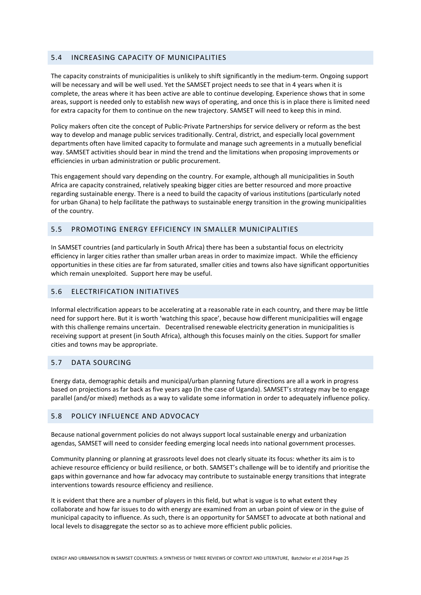### 5.4 INCREASING CAPACITY OF MUNICIPALITIES

The capacity constraints of municipalities is unlikely to shift significantly in the medium-term. Ongoing support will be necessary and will be well used. Yet the SAMSET project needs to see that in 4 years when it is complete, the areas where it has been active are able to continue developing. Experience shows that in some areas, support is needed only to establish new ways of operating, and once this is in place there is limited need for extra capacity for them to continue on the new trajectory. SAMSET will need to keep this in mind.

Policy makers often cite the concept of Public-Private Partnerships for service delivery or reform as the best way to develop and manage public services traditionally. Central, district, and especially local government departments often have limited capacity to formulate and manage such agreements in a mutually beneficial way. SAMSET activities should bear in mind the trend and the limitations when proposing improvements or efficiencies in urban administration or public procurement.

This engagement should vary depending on the country. For example, although all municipalities in South Africa are capacity constrained, relatively speaking bigger cities are better resourced and more proactive regarding sustainable energy. There is a need to build the capacity of various institutions (particularly noted for urban Ghana) to help facilitate the pathways to sustainable energy transition in the growing municipalities of the country.

### 5.5 PROMOTING ENERGY EFFICIENCY IN SMALLER MUNICIPALITIES

In SAMSET countries (and particularly in South Africa) there has been a substantial focus on electricity efficiency in larger cities rather than smaller urban areas in order to maximize impact. While the efficiency opportunities in these cities are far from saturated, smaller cities and towns also have significant opportunities which remain unexploited. Support here may be useful.

### 5.6 ELECTRIFICATION INITIATIVES

Informal electrification appears to be accelerating at a reasonable rate in each country, and there may be little need for support here. But it is worth 'watching this space', because how different municipalities will engage with this challenge remains uncertain. Decentralised renewable electricity generation in municipalities is receiving support at present (in South Africa), although this focuses mainly on the cities. Support for smaller cities and towns may be appropriate.

#### 5.7 DATA SOURCING

Energy data, demographic details and municipal/urban planning future directions are all a work in progress based on projections as far back as five years ago (In the case of Uganda). SAMSET's strategy may be to engage parallel (and/or mixed) methods as a way to validate some information in order to adequately influence policy.

### 5.8 POLICY INFLUENCE AND ADVOCACY

Because national government policies do not always support local sustainable energy and urbanization agendas, SAMSET will need to consider feeding emerging local needs into national government processes.

Community planning or planning at grassroots level does not clearly situate its focus: whether its aim is to achieve resource efficiency or build resilience, or both. SAMSET's challenge will be to identify and prioritise the gaps within governance and how far advocacy may contribute to sustainable energy transitions that integrate interventions towards resource efficiency and resilience.

It is evident that there are a number of players in this field, but what is vague is to what extent they collaborate and how far issues to do with energy are examined from an urban point of view or in the guise of municipal capacity to influence. As such, there is an opportunity for SAMSET to advocate at both national and local levels to disaggregate the sector so as to achieve more efficient public policies.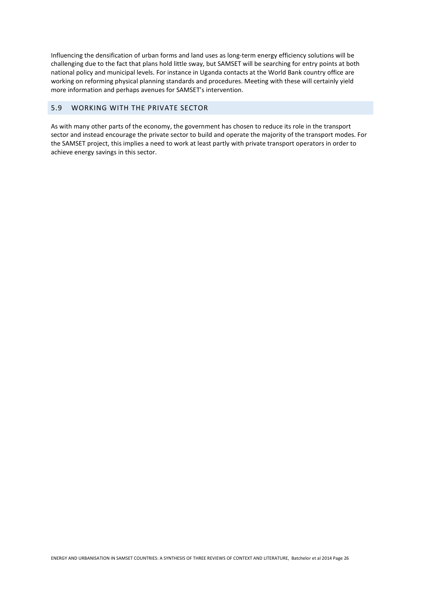Influencing the densification of urban forms and land uses as long-term energy efficiency solutions will be challenging due to the fact that plans hold little sway, but SAMSET will be searching for entry points at both national policy and municipal levels. For instance in Uganda contacts at the World Bank country office are working on reforming physical planning standards and procedures. Meeting with these will certainly yield more information and perhaps avenues for SAMSET's intervention.

### 5.9 WORKING WITH THE PRIVATE SECTOR

As with many other parts of the economy, the government has chosen to reduce its role in the transport sector and instead encourage the private sector to build and operate the majority of the transport modes. For the SAMSET project, this implies a need to work at least partly with private transport operators in order to achieve energy savings in this sector.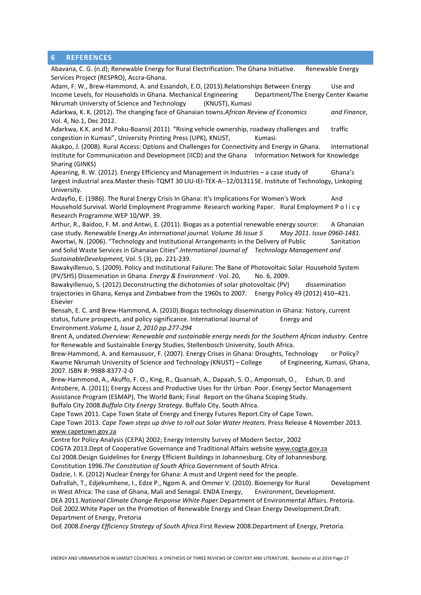### **6 REFERENCES**

Abavana, C. G. (n.d); Renewable Energy for Rural Electrification: The Ghana Initiative. Renewable Energy Services Project (RESPRO), Accra-Ghana.

Adam, F. W., Brew-Hammond, A. and Essandoh, E.O, (2013). Relationships Between Energy Use and Income Levels, for Households in Ghana. Mechanical Engineering Department/The Energy Center Kwame Nkrumah University of Science and Technology (KNUST), Kumasi

Adarkwa, K. K. (2012). The changing face of Ghanaian towns.*African Review of Economics and Finance*, Vol. 4, No.1, Dec 2012.

Adarkwa, K.K. and M. Poku-Boansi( 2011). "Rising vehicle ownership, roadway challenges and traffic congestion in Kumasi", University Printing Press (UPK), KNUST, Kumasi.

Akakpo, J. (2008). Rural Access: Options and Challenges for Connectivity and Energy in Ghana. International Institute for Communication and Development (IICD) and the Ghana Information Network for Knowledge Sharing (GINKS)

Apeaning, R. W. (2012). Energy Efficiency and Management in Industries – a case study of Ghana's largest industrial area.Master thesis-TQMT 30 LIU-IEI-TEK-A--12/01311 SE. Institute of Technology, Linkoping University.

Ardayfio, E. (1986). The Rural Energy Crisis In Ghana: It's Implications For Women's Work And Household Survival. World Employment Programme Research working Paper. Rural Employment P o l i c y Research Programme.WEP 10/WP. 39.

Arthur, R., Baidoo, F. M. and Antwi, E. (2011). Biogas as a potential renewable energy source: A Ghanaian case study. Renewable Energy.*An international journal. Volume 36 Issue 5 May 2011. Issue 0960-1481.*  Awortwi, N. (2006). "Technology and Institutional Arrangements in the Delivery of Public Sanitation and Solid Waste Services in Ghanaian Cities".*International Journal of Technology Management and SustainableDevelopment,* Vol. 5 (3), pp. 221-239.

Bawakyillenuo, S. (2009). Policy and Institutional Failure: The Bane of Photovoltaic Solar Household System (PV/SHS) Dissemination in Ghana. *Energy & Environment* · Vol. 20, No. 6, 2009.

Bawakyillenuo, S. (2012).Deconstructing the dichotomies of solar photovoltaic (PV) dissemination trajectories in Ghana, Kenya and Zimbabwe from the 1960s to 2007. Energy Policy 49 (2012) 410–421. Elsevier

Bensah, E. C. and Brew-Hammond, A. (2010).Biogas technology dissemination in Ghana: history, current status, future prospects, and policy significance. International Journal of Energy and Environment.*Volume 1, Issue 2, 2010 pp.277-294*

Brent A, undated.*Overview: Renewable and sustainable energy needs for the Southern African industry*. Centre for Renewable and Sustainable Energy Studies, Stellenbosch University, South Africa.

Brew-Hammond, A. and Kemausuor, F. (2007). Energy Crises in Ghana: Droughts, Technology or Policy? Kwame Nkrumah University of Science and Technology (KNUST) – College of Engineering, Kumasi, Ghana, 2007. ISBN #: 9988-8377-2-0

Brew-Hammond, A., Akuffo, F. O., King, R., Quansah, A., Dapaah, S. O., Amponsah, O., Eshun, D. and Antobere, A. (2011); Energy Access and Productive Uses for thr Urban Poor. Energy Sector Management Assistance Program (ESMAP), The World Bank; Final Report on the Ghana Scoping Study. Buffalo City 2008.*Buffalo City Energy Strategy*. Buffalo City, South Africa.

Cape Town 2011. Cape Town State of Energy and Energy Futures Report.City of Cape Town.

Cape Town 2013. *Cape Town steps up drive to roll out Solar Water Heaters*. Press Release 4 November 2013. www.capetown.gov.za

Centre for Policy Analysis (CEPA) 2002; Energy Intensity Survey of Modern Sector, 2002

COGTA 2013.Dept of Cooperative Governance and Traditional Affairs website www.cogta.gov.za

CoJ 2008.Design Guidelines for Energy Efficient Buildings in Johannesburg. City of Johannesburg.

Constitution 1996.*The Constitution of South Africa*.Government of South Africa.

Dadzie, I. K. (2012) Nuclear Energy for Ghana: A must and Urgent need for the people.

Dafrallah, T., Edjekumhene, I., Edze P., Ngom A. and Ommer V. (2010). Bioenergy for Rural Development in West Africa: The case of Ghana, Mali and Senegal, ENDA Energy, Finitionment, Development,

DEA 2011.*National Climate Change Response White Paper*.Department of Environmental Affairs. Pretoria.

DoE 2002.White Paper on the Promotion of Renewable Energy and Clean Energy Development.Draft. Department of Energy, Pretoria

DoE 2008.*Energy Efficiency Strategy of South Africa*.First Review 2008.Department of Energy, Pretoria.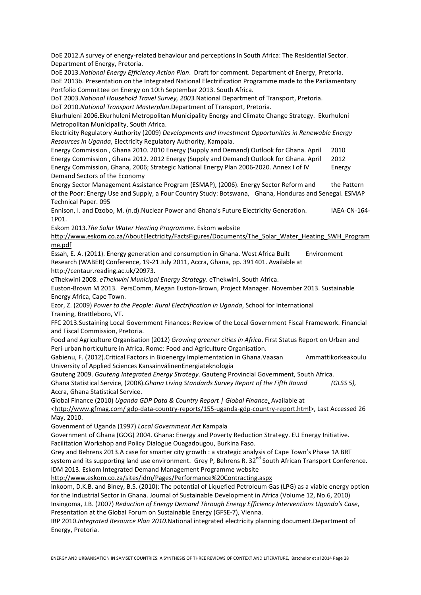DoE 2012.A survey of energy-related behaviour and perceptions in South Africa: The Residential Sector. Department of Energy, Pretoria.

DoE 2013.*National Energy Efficiency Action Plan*. Draft for comment. Department of Energy, Pretoria. DoE 2013b. Presentation on the Integrated National Electrification Programme made to the Parliamentary Portfolio Committee on Energy on 10th September 2013. South Africa.

DoT 2003.*National Household Travel Survey, 2003.*National Department of Transport, Pretoria.

DoT 2010.*National Transport Masterplan*.Department of Transport, Pretoria.

Ekurhuleni 2006.Ekurhuleni Metropolitan Municipality Energy and Climate Change Strategy. Ekurhuleni Metropolitan Municipality, South Africa.

Electricity Regulatory Authority (2009) *Developments and Investment Opportunities in Renewable Energy Resources in Uganda*, Electricity Regulatory Authority, Kampala.

Energy Commission , Ghana 2010. 2010 Energy (Supply and Demand) Outlook for Ghana. April 2010 Energy Commission , Ghana 2012. 2012 Energy (Supply and Demand) Outlook for Ghana. April 2012 Energy Commission, Ghana, 2006; Strategic National Energy Plan 2006-2020. Annex I of IV Energy Demand Sectors of the Economy

Energy Sector Management Assistance Program (ESMAP), (2006). Energy Sector Reform and the Pattern of the Poor: Energy Use and Supply, a Four Country Study: Botswana, Ghana, Honduras and Senegal. ESMAP Technical Paper. 095

Ennison, I. and Dzobo, M. (n.d).Nuclear Power and Ghana's Future Electricity Generation. IAEA-CN-164-1P01.

Eskom 2013.*The Solar Water Heating Programme*. Eskom website

http://www.eskom.co.za/AboutElectricity/FactsFigures/Documents/The\_Solar\_Water\_Heating\_SWH\_Program me.pdf

Essah, E. A. (2011). Energy generation and consumption in Ghana. West Africa Built Environment Research (WABER) Conference, 19-21 July 2011, Accra, Ghana, pp. 391 401. Available at http://centaur.reading.ac.uk/20973.

eThekwini 2008. *eThekwini Municipal Energy Strategy*. eThekwini, South Africa.

Euston-Brown M 2013. PersComm, Megan Euston-Brown, Project Manager. November 2013. Sustainable Energy Africa, Cape Town.

Ezor, Z. (2009) *Power to the People: Rural Electrification in Uganda*, School for International Training, Brattleboro, VT.

FFC 2013.Sustaining Local Government Finances: Review of the Local Government Fiscal Framework. Financial and Fiscal Commission, Pretoria.

Food and Agriculture Organisation (2012) *Growing greener cities in Africa*. First Status Report on Urban and Peri-urban horticulture in Africa. Rome: Food and Agriculture Organisation.

Gabienu, F. (2012). Critical Factors in Bioenergy Implementation in Ghana. Vaasan Ammattikorkeakoulu University of Applied Sciences KansainvälinenEnergiateknologia

Gauteng 2009. *Gauteng Integrated Energy Strategy*. Gauteng Provincial Government, South Africa.

Ghana Statistical Service, (2008).*Ghana Living Standards Survey Report of the Fifth Round (GLSS 5),*  Accra, Ghana Statistical Service.

Global Finance (2010) *Uganda GDP Data & Country Report | Global Finance*, Available at

<http://www.gfmag.com/ gdp-data-country-reports/155-uganda-gdp-country-report.html>, Last Accessed 26 May, 2010.

Govenment of Uganda (1997) *Local Government Act* Kampala

Government of Ghana (GOG) 2004. Ghana: Energy and Poverty Reduction Strategy. EU Energy Initiative. Facilitation Workshop and Policy Dialogue Ouagadougou, Burkina Faso.

Grey and Behrens 2013.A case for smarter city growth : a strategic analysis of Cape Town's Phase 1A BRT system and its supporting land use environment. Grey P, Behrens R.  $32^{nd}$  South African Transport Conference. IDM 2013. Eskom Integrated Demand Management Programme website

http://www.eskom.co.za/sites/idm/Pages/Performance%20Contracting.aspx

Inkoom, D.K.B. and Biney, B.S. (2010): The potential of Liquefied Petroleum Gas (LPG) as a viable energy option for the Industrial Sector in Ghana. Journal of Sustainable Development in Africa (Volume 12, No.6, 2010) Insingoma, J.B. (2007) *Reduction of Energy Demand Through Energy Efficiency Interventions Uganda's Case*, Presentation at the Global Forum on Sustainable Energy (GFSE-7), Vienna.

IRP 2010.*Integrated Resource Plan 2010*.National integrated electricity planning document.Department of Energy, Pretoria.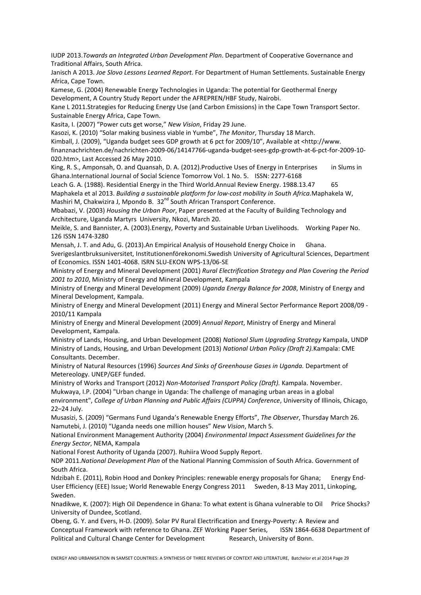IUDP 2013.*Towards an Integrated Urban Development Plan*. Department of Cooperative Governance and Traditional Affairs, South Africa.

Janisch A 2013. *Joe Slovo Lessons Learned Report*. For Department of Human Settlements. Sustainable Energy Africa, Cape Town.

Kamese, G. (2004) Renewable Energy Technologies in Uganda: The potential for Geothermal Energy Development, A Country Study Report under the AFREPREN/HBF Study, Nairobi.

Kane L 2011.Strategies for Reducing Energy Use (and Carbon Emissions) in the Cape Town Transport Sector. Sustainable Energy Africa, Cape Town.

Kasita, I. (2007) "Power cuts get worse," *New Vision*, Friday 29 June.

Kasozi, K. (2010) "Solar making business viable in Yumbe", *The Monitor*, Thursday 18 March.

Kimball, J. (2009), "Uganda budget sees GDP growth at 6 pct for 2009/10", Available at <http://www.

finanznachrichten.de/nachrichten-2009-06/14147766-uganda-budget-sees-gdp-growth-at-6-pct-for-2009-10- 020.htm>, Last Accessed 26 May 2010.

King, R. S., Amponsah, O. and Quansah, D. A. (2012). Productive Uses of Energy in Enterprises in Slums in Ghana.International Journal of Social Science Tomorrow Vol. 1 No. 5. ISSN: 2277-6168

Leach G. A. (1988). Residential Energy in the Third World.Annual Review Energy. 1988.13.47 65 Maphakela et al 2013. *Building a sustainable platform for low-cost mobility in South Africa.*Maphakela W, Mashiri M, Chakwizira J, Mpondo B. 32<sup>nd</sup> South African Transport Conference.

Mbabazi, V. (2003) *Housing the Urban Poor*, Paper presented at the Faculty of Building Technology and Architecture, Uganda Martyrs University, Nkozi, March 20.

Meikle, S. and Bannister, A. (2003).Energy, Poverty and Sustainable Urban Livelihoods. Working Paper No. 126 ISSN 1474-3280

Mensah, J. T. and Adu, G. (2013).An Empirical Analysis of Household Energy Choice in Ghana. Sverigeslantbruksuniversitet, Institutionenförekonomi.Swedish University of Agricultural Sciences, Department of Economics. ISSN 1401-4068. ISRN SLU-EKON WPS-13/06-SE

Ministry of Energy and Mineral Development (2001) *Rural Electrification Strategy and Plan Covering the Period 2001 to 2010*, Ministry of Energy and Mineral Development, Kampala

Ministry of Energy and Mineral Development (2009) *Uganda Energy Balance for 2008*, Ministry of Energy and Mineral Development, Kampala.

Ministry of Energy and Mineral Development (2011) Energy and Mineral Sector Performance Report 2008/09 - 2010/11 Kampala

Ministry of Energy and Mineral Development (2009) *Annual Report*, Ministry of Energy and Mineral Development, Kampala.

Ministry of Lands, Housing, and Urban Development (2008) *National Slum Upgrading Strategy* Kampala, UNDP Ministry of Lands, Housing, and Urban Development (2013) *National Urban Policy (Draft 2).*Kampala: CME Consultants. December.

Ministry of Natural Resources (1996) *Sources And Sinks of Greenhouse Gases in Uganda.* Department of Metereology. UNEP/GEF funded.

Ministry of Works and Transport (2012) *Non-Motorised Transport Policy (Draft).* Kampala. November. Mukwaya, I.P. (2004) "Urban change in Uganda: The challenge of managing urban areas in a global environment", *College of Urban Planning and Public Affairs (CUPPA) Conference*, University of Illinois, Chicago, 22–24 July.

Musasizi, S. (2009) "Germans Fund Uganda's Renewable Energy Efforts", *The Observer*, Thursday March 26. Namutebi, J. (2010) "Uganda needs one million houses" *New Vision*, March 5.

National Environment Management Authority (2004) *Environmental Impact Assessment Guidelines for the Energy Sector*, NEMA, Kampala

National Forest Authority of Uganda (2007). Ruhiira Wood Supply Report.

NDP 2011.*National Development Plan* of the National Planning Commission of South Africa. Government of South Africa.

Ndzibah E. (2011), Robin Hood and Donkey Principles: renewable energy proposals for Ghana; Energy End-User Efficiency (EEE) Issue; World Renewable Energy Congress 2011 Sweden, 8-13 May 2011, Linkoping, Sweden.

Nnadikwe, K. (2007): High Oil Dependence in Ghana: To what extent is Ghana vulnerable to Oil Price Shocks? University of Dundee, Scotland.

Obeng, G. Y. and Evers, H-D. (2009). Solar PV Rural Electrification and Energy-Poverty: A Review and Conceptual Framework with reference to Ghana. ZEF Working Paper Series, ISSN 1864-6638 Department of Political and Cultural Change Center for Development Research, University of Bonn.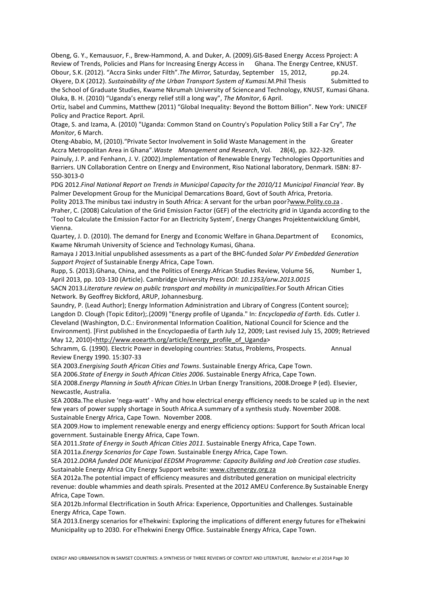Obeng, G. Y., Kemausuor, F., Brew-Hammond, A. and Duker, A. (2009).GIS-Based Energy Access Pproject: A Review of Trends, Policies and Plans for Increasing Energy Access in Ghana. The Energy Centree, KNUST. Obour, S.K. (2012). "Accra Sinks under Filth".*The Mirror,* Saturday, September 15, 2012, pp.24.

Okyere, D.K (2012). *Sustainability of the Urban Transport System of Kumasi*.M.Phil Thesis Submitted to the School of Graduate Studies, Kwame Nkrumah University of Science and Technology, KNUST, Kumasi Ghana. Oluka, B. H. (2010) "Uganda's energy relief still a long way", *The Monitor*, 6 April.

Ortiz, Isabel and Cummins, Matthew (2011) "Global Inequality: Beyond the Bottom Billion". New York: UNICEF Policy and Practice Report. April.

Otage, S. and Izama, A. (2010) "Uganda: Common Stand on Country's Population Policy Still a Far Cry", *The Monitor*, 6 March.

Oteng-Ababio, M, (2010)."Private Sector Involvement in Solid Waste Management in the Greater Accra Metropolitan Area in Ghana".*Waste Management and Research*, Vol. 28(4), pp. 322-329.

Painuly, J. P. and Fenhann, J. V. (2002).Implementation of Renewable Energy Technologies Opportunities and Barriers. UN Collaboration Centre on Energy and Environment, Riso National laboratory, Denmark. ISBN: 87- 550-3013-0

PDG 2012.*Final National Report on Trends in Municipal Capacity for the 2010/11 Municipal Financial Year*. By Palmer Development Group for the Municipal Demarcations Board, Govt of South Africa, Pretoria.

Polity 2013.The minibus taxi industry in South Africa: A servant for the urban poor?www.Polity.co.za .

Praher, C. (2008) Calculation of the Grid Emission Factor (GEF) of the electricity grid in Uganda according to the 'Tool to Calculate the Emission Factor For an Electricity System', Energy Changes Projektentwicklung GmbH, Vienna.

Quartey, J. D. (2010). The demand for Energy and Economic Welfare in Ghana.Department of Economics, Kwame Nkrumah University of Science and Technology Kumasi, Ghana.

Ramaya J 2013.Initial unpublished assessments as a part of the BHC-funded *Solar PV Embedded Generation Support Project* of Sustainable Energy Africa, Cape Town.

Rupp, S. (2013).Ghana, China, and the Politics of Energy.African Studies Review, Volume 56, Number 1, April 2013, pp. 103-130 (Article). Cambridge University Press *DOI: 10.1353/arw.2013.0015*

SACN 2013.*Literature review on public transport and mobility in municipalities*.For South African Cities Network. By Geoffrey Bickford, ARUP, Johannesburg.

Saundry, P. (Lead Author); Energy Information Administration and Library of Congress (Content source); Langdon D. Clough (Topic Editor);.(2009) "Energy profile of Uganda." In: *Encyclopedia of Earth*. Eds. Cutler J. Cleveland (Washington, D.C.: Environmental Information Coalition, National Council for Science and the Environment). [First published in the Encyclopaedia of Earth July 12, 2009; Last revised July 15, 2009; Retrieved May 12, 2010]<http://www.eoearth.org/article/Energy\_profile\_of\_Uganda>

Schramm, G. (1990). Electric Power in developing countries: Status, Problems, Prospects. Annual Review Energy 1990. 15:307-33

SEA 2003.*Energising South African Cities and Towns*. Sustainable Energy Africa, Cape Town.

SEA 2006.*State of Energy in South African Cities 2006*. Sustainable Energy Africa, Cape Town.

SEA 2008.*Energy Planning in South African Cities*.In Urban Energy Transitions, 2008.Droege P (ed). Elsevier, Newcastle, Australia.

SEA 2008a.The elusive 'nega-watt' - Why and how electrical energy efficiency needs to be scaled up in the next few years of power supply shortage in South Africa.A summary of a synthesis study. November 2008. Sustainable Energy Africa, Cape Town. November 2008.

SEA 2009.How to implement renewable energy and energy efficiency options: Support for South African local government. Sustainable Energy Africa, Cape Town.

SEA 2011.*State of Energy in South African Cities 2011*. Sustainable Energy Africa, Cape Town.

SEA 2011a.*Energy Scenarios for Cape Town.* Sustainable Energy Africa, Cape Town.

SEA 2012.*DORA funded DOE Municipal EEDSM Programme: Capacity Building and Job Creation case studies*. Sustainable Energy Africa City Energy Support website: www.cityenergy.org.za

SEA 2012a.The potential impact of efficiency measures and distributed generation on municipal electricity revenue: double whammies and death spirals. Presented at the 2012 AMEU Conference.By Sustainable Energy Africa, Cape Town.

SEA 2012b.Informal Electrification in South Africa: Experience, Opportunities and Challenges. Sustainable Energy Africa, Cape Town.

SEA 2013.Energy scenarios for eThekwini: Exploring the implications of different energy futures for eThekwini Municipality up to 2030. For eThekwini Energy Office. Sustainable Energy Africa, Cape Town.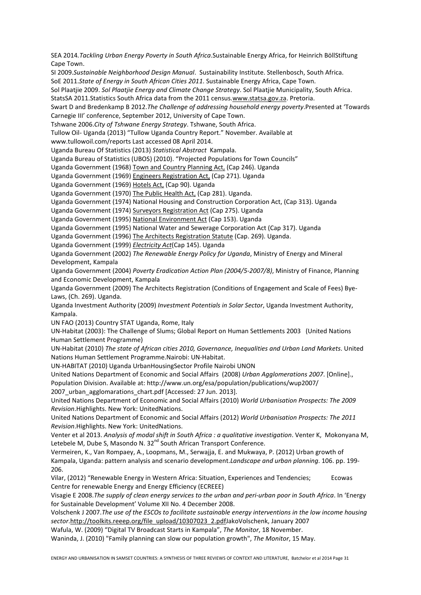SEA 2014*.Tackling Urban Energy Poverty in South Africa*.Sustainable Energy Africa, for Heinrich BöllStiftung Cane Town.

SI 2009.*Sustainable Neighborhood Design Manual*. Sustainability Institute. Stellenbosch, South Africa.

SoE 2011.*State of Energy in South African Cities 2011*. Sustainable Energy Africa, Cape Town.

Sol Plaatjie 2009. *Sol Plaatjie Energy and Climate Change Strategy*. Sol Plaatjie Municipality, South Africa.

StatsSA 2011.Statistics South Africa data from the 2011 census.www.statsa.gov.za. Pretoria.

Swart D and Bredenkamp B 2012.*The Challenge of addressing household energy poverty*.Presented at 'Towards Carnegie III' conference, September 2012, University of Cape Town.

Tshwane 2006.*City of Tshwane Energy Strategy*. Tshwane, South Africa.

Tullow Oil- Uganda (2013) "Tullow Uganda Country Report." November. Available at

www.tullowoil.com/reports Last accessed 08 April 2014.

Uganda Bureau Of Statistics (2013) *Statistical Abstract* Kampala.

Uganda Bureau of Statistics (UBOS) (2010). "Projected Populations for Town Councils"

Uganda Government (1968) Town and Country Planning Act, (Cap 246). Uganda

Uganda Government (1969) Engineers Registration Act, (Cap 271). Uganda

Uganda Government (1969) Hotels Act, (Cap 90). Uganda

Uganda Government (1970) The Public Health Act, (Cap 281). Uganda.

Uganda Government (1974) National Housing and Construction Corporation Act, (Cap 313). Uganda

Uganda Government (1974) Surveyors Registration Act (Cap 275). Uganda

Uganda Government (1995) National Environment Act (Cap 153). Uganda

Uganda Government (1995) National Water and Sewerage Corporation Act (Cap 317). Uganda

Uganda Government (1996) The Architects Registration Statute (Cap. 269). Uganda.

Uganda Government (1999) *Electricity Act*(Cap 145). Uganda

Uganda Government (2002) *The Renewable Energy Policy for Uganda*, Ministry of Energy and Mineral Development, Kampala

Uganda Government (2004) *Poverty Eradication Action Plan (2004/5-2007/8)*, Ministry of Finance, Planning and Economic Development, Kampala

Uganda Government (2009) The Architects Registration (Conditions of Engagement and Scale of Fees) Bye-Laws, (Ch. 269). Uganda.

Uganda Investment Authority (2009) *Investment Potentials in Solar Sector*, Uganda Investment Authority, Kampala.

UN FAO (2013) Country STAT Uganda, Rome, Italy

UN-Habitat (2003): The Challenge of Slums; Global Report on Human Settlements 2003 (United Nations Human Settlement Programme)

UN-Habitat (2010) *The state of African cities 2010, Governance, Inequalities and Urban Land Markets*. United Nations Human Settlement Programme.Nairobi: UN-Habitat.

UN-HABITAT (2010) Uganda UrbanHousingSector Profile Nairobi UNON

United Nations Department of Economic and Social Affairs (2008) *Urban Agglomerations 2007*. [Online]., Population Division. Available at: http://www.un.org/esa/population/publications/wup2007/

2007 urban agglomarations chart.pdf [Accessed: 27 Jun. 2013].

United Nations Department of Economic and Social Affairs (2010) *World Urbanisation Prospects: The 2009 Revision*.Highlights. New York: UnitedNations.

United Nations Department of Economic and Social Affairs (2012) *World Urbanisation Prospects: The 2011 Revision*.Highlights. New York: UnitedNations.

Venter et al 2013. *Analysis of modal shift in South Africa : a qualitative investigation*. Venter K, Mokonyana M, Letebele M, Dube S, Masondo N. 32<sup>nd</sup> South African Transport Conference.

Vermeiren, K., Van Rompaey, A., Loopmans, M., Serwajja, E. and Mukwaya, P. (2012) Urban growth of Kampala, Uganda: pattern analysis and scenario development.*Landscape and urban planning*. 106. pp. 199- 206.

Vilar, (2012) "Renewable Energy in Western Africa: Situation, Experiences and Tendencies; Ecowas Centre for renewable Energy and Energy Efficiency (ECREEE)

Visagie E 2008.*The supply of clean energy services to the urban and peri-urban poor in South Africa*. In 'Energy for Sustainable Development' Volume XII No. 4 December 2008.

Volschenk J 2007.*The use of the ESCOs to facilitate sustainable energy interventions in the low income housing sector*.http://toolkits.reeep.org/file\_upload/10307023\_2.pdfJakoVolschenk, January 2007

Wafula, W. (2009) "Digital TV Broadcast Starts in Kampala", *The Monitor*, 18 November.

Waninda, J. (2010) "Family planning can slow our population growth", *The Monitor*, 15 May.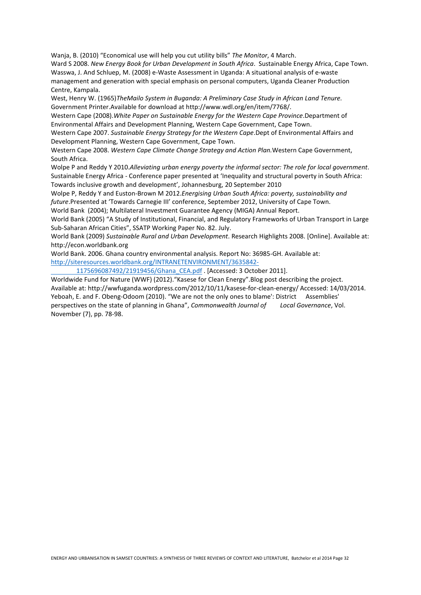Wanja, B. (2010) "Economical use will help you cut utility bills" *The Monitor*, 4 March.

Ward S 2008. *New Energy Book for Urban Development in South Africa*. Sustainable Energy Africa, Cape Town. Wasswa, J. And Schluep, M. (2008) e-Waste Assessment in Uganda: A situational analysis of e-waste management and generation with special emphasis on personal computers, Uganda Cleaner Production Centre, Kampala.

West, Henry W. (1965)*TheMailo System in Buganda: A Preliminary Case Study in African Land Tenure.*  Government Printer.Available for download at http://www.wdl.org/en/item/7768/.

Western Cape (2008).*White Paper on Sustainable Energy for the Western Cape Province*.Department of Environmental Affairs and Development Planning, Western Cape Government, Cape Town.

Western Cape 2007. *Sustainable Energy Strategy for the Western Cape*.Dept of Environmental Affairs and Development Planning, Western Cape Government, Cape Town.

Western Cape 2008. *Western Cape Climate Change Strategy and Action Plan.*Western Cape Government, South Africa.

Wolpe P and Reddy Y 2010.*Alleviating urban energy poverty the informal sector: The role for local government*. Sustainable Energy Africa - Conference paper presented at 'Inequality and structural poverty in South Africa: Towards inclusive growth and development', Johannesburg, 20 September 2010

Wolpe P, Reddy Y and Euston-Brown M 2012.*Energising Urban South Africa: poverty, sustainability and future*.Presented at 'Towards Carnegie III' conference, September 2012, University of Cape Town.

World Bank (2004); Multilateral Investment Guarantee Agency (MIGA) Annual Report.

World Bank (2005) "A Study of Institutional, Financial, and Regulatory Frameworks of Urban Transport in Large Sub-Saharan African Cities", SSATP Working Paper No. 82. July.

World Bank (2009) *Sustainable Rural and Urban Development*. Research Highlights 2008. [Online]. Available at: http://econ.worldbank.org

World Bank. 2006. Ghana country environmental analysis. Report No: 36985-GH. Available at: http://siteresources.worldbank.org/INTRANETENVIRONMENT/3635842-

1175696087492/21919456/Ghana\_CEA.pdf . [Accessed: 3 October 2011].

Worldwide Fund for Nature (WWF) (2012)."Kasese for Clean Energy".Blog post describing the project. Available at: http://wwfuganda.wordpress.com/2012/10/11/kasese-for-clean-energy/ Accessed: 14/03/2014. Yeboah, E. and F. Obeng-Odoom (2010). "We are not the only ones to blame': District Assemblies' perspectives on the state of planning in Ghana", *Commonwealth Journal of Local Governance*, Vol. November (7), pp. 78-98.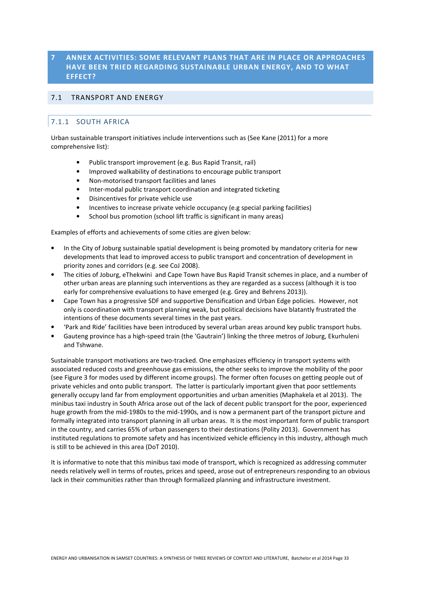### **7 ANNEX ACTIVITIES: SOME RELEVANT PLANS THAT ARE IN PLACE OR APPROACHES HAVE BEEN TRIED REGARDING SUSTAINABLE URBAN ENERGY, AND TO WHAT EFFECT?**

### 7.1 TRANSPORT AND ENERGY

### 7.1.1 SOUTH AFRICA

Urban sustainable transport initiatives include interventions such as (See Kane (2011) for a more comprehensive list):

- Public transport improvement (e.g. Bus Rapid Transit, rail)
- Improved walkability of destinations to encourage public transport
- Non-motorised transport facilities and lanes
- Inter-modal public transport coordination and integrated ticketing
- Disincentives for private vehicle use
- Incentives to increase private vehicle occupancy (e.g special parking facilities)
- School bus promotion (school lift traffic is significant in many areas)

Examples of efforts and achievements of some cities are given below:

- In the City of Joburg sustainable spatial development is being promoted by mandatory criteria for new developments that lead to improved access to public transport and concentration of development in priority zones and corridors (e.g. see CoJ 2008).
- The cities of Joburg, eThekwini and Cape Town have Bus Rapid Transit schemes in place, and a number of other urban areas are planning such interventions as they are regarded as a success (although it is too early for comprehensive evaluations to have emerged (e.g. Grey and Behrens 2013)).
- Cape Town has a progressive SDF and supportive Densification and Urban Edge policies. However, not only is coordination with transport planning weak, but political decisions have blatantly frustrated the intentions of these documents several times in the past years.
- 'Park and Ride' facilities have been introduced by several urban areas around key public transport hubs.
- Gauteng province has a high-speed train (the 'Gautrain') linking the three metros of Joburg, Ekurhuleni and Tshwane.

Sustainable transport motivations are two-tracked. One emphasizes efficiency in transport systems with associated reduced costs and greenhouse gas emissions, the other seeks to improve the mobility of the poor (see Figure 3 for modes used by different income groups). The former often focuses on getting people out of private vehicles and onto public transport. The latter is particularly important given that poor settlements generally occupy land far from employment opportunities and urban amenities (Maphakela et al 2013). The minibus taxi industry in South Africa arose out of the lack of decent public transport for the poor, experienced huge growth from the mid-1980s to the mid-1990s, and is now a permanent part of the transport picture and formally integrated into transport planning in all urban areas. It is the most important form of public transport in the country, and carries 65% of urban passengers to their destinations (Polity 2013). Government has instituted regulations to promote safety and has incentivized vehicle efficiency in this industry, although much is still to be achieved in this area (DoT 2010).

It is informative to note that this minibus taxi mode of transport, which is recognized as addressing commuter needs relatively well in terms of routes, prices and speed, arose out of entrepreneurs responding to an obvious lack in their communities rather than through formalized planning and infrastructure investment.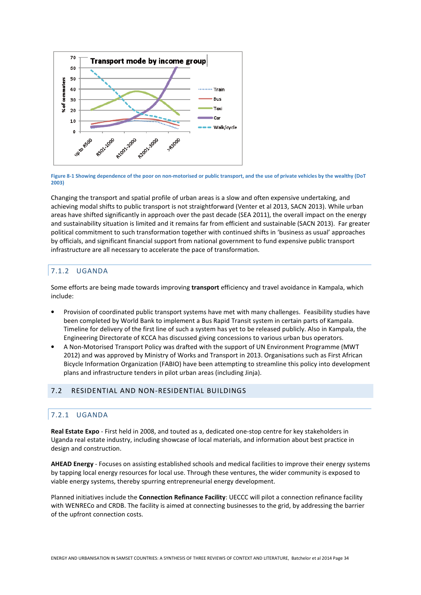

**Figure 8-1 Showing dependence of the poor on non-motorised or public transport, and the use of private vehicles by the wealthy (DoT 2003)** 

Changing the transport and spatial profile of urban areas is a slow and often expensive undertaking, and achieving modal shifts to public transport is not straightforward (Venter et al 2013, SACN 2013). While urban areas have shifted significantly in approach over the past decade (SEA 2011), the overall impact on the energy and sustainability situation is limited and it remains far from efficient and sustainable (SACN 2013). Far greater political commitment to such transformation together with continued shifts in 'business as usual' approaches by officials, and significant financial support from national government to fund expensive public transport infrastructure are all necessary to accelerate the pace of transformation.

### 7.1.2 UGANDA

Some efforts are being made towards improving **transport** efficiency and travel avoidance in Kampala, which include:

- Provision of coordinated public transport systems have met with many challenges. Feasibility studies have been completed by World Bank to implement a Bus Rapid Transit system in certain parts of Kampala. Timeline for delivery of the first line of such a system has yet to be released publicly. Also in Kampala, the Engineering Directorate of KCCA has discussed giving concessions to various urban bus operators.
- A Non-Motorised Transport Policy was drafted with the support of UN Environment Programme (MWT 2012) and was approved by Ministry of Works and Transport in 2013. Organisations such as First African Bicycle Information Organization (FABIO) have been attempting to streamline this policy into development plans and infrastructure tenders in pilot urban areas (including Jinja).

### 7.2 RESIDENTIAL AND NON-RESIDENTIAL BUILDINGS

### 7.2.1 UGANDA

**Real Estate Expo** - First held in 2008, and touted as a, dedicated one-stop centre for key stakeholders in Uganda real estate industry, including showcase of local materials, and information about best practice in design and construction.

**AHEAD Energy** - Focuses on assisting established schools and medical facilities to improve their energy systems by tapping local energy resources for local use. Through these ventures, the wider community is exposed to viable energy systems, thereby spurring entrepreneurial energy development.

Planned initiatives include the **Connection Refinance Facility**: UECCC will pilot a connection refinance facility with WENRECo and CRDB. The facility is aimed at connecting businesses to the grid, by addressing the barrier of the upfront connection costs.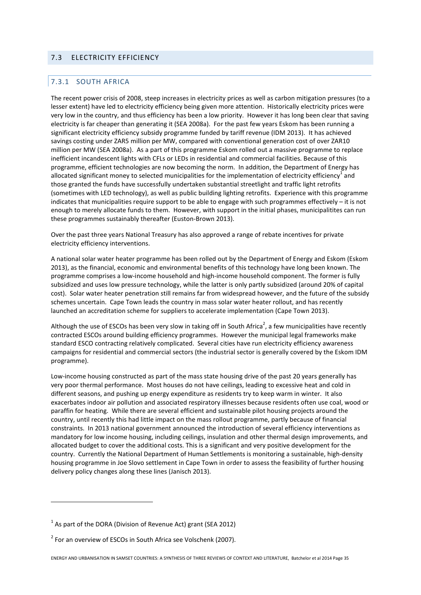### 7.3 ELECTRICITY EFFICIENCY

### 7.3.1 SOUTH AFRICA

The recent power crisis of 2008, steep increases in electricity prices as well as carbon mitigation pressures (to a lesser extent) have led to electricity efficiency being given more attention. Historically electricity prices were very low in the country, and thus efficiency has been a low priority. However it has long been clear that saving electricity is far cheaper than generating it (SEA 2008a). For the past few years Eskom has been running a significant electricity efficiency subsidy programme funded by tariff revenue (IDM 2013). It has achieved savings costing under ZAR5 million per MW, compared with conventional generation cost of over ZAR10 million per MW (SEA 2008a). As a part of this programme Eskom rolled out a massive programme to replace inefficient incandescent lights with CFLs or LEDs in residential and commercial facilities. Because of this programme, efficient technologies are now becoming the norm. In addition, the Department of Energy has allocated significant money to selected municipalities for the implementation of electricity efficiency<sup>1</sup> and those granted the funds have successfully undertaken substantial streetlight and traffic light retrofits (sometimes with LED technology), as well as public building lighting retrofits. Experience with this programme indicates that municipalities require support to be able to engage with such programmes effectively – it is not enough to merely allocate funds to them. However, with support in the initial phases, municipalitites can run these programmes sustainably thereafter (Euston-Brown 2013).

Over the past three years National Treasury has also approved a range of rebate incentives for private electricity efficiency interventions.

A national solar water heater programme has been rolled out by the Department of Energy and Eskom (Eskom 2013), as the financial, economic and environmental benefits of this technology have long been known. The programme comprises a low-income household and high-income household component. The former is fully subsidized and uses low pressure technology, while the latter is only partly subsidized (around 20% of capital cost). Solar water heater penetration still remains far from widespread however, and the future of the subsidy schemes uncertain. Cape Town leads the country in mass solar water heater rollout, and has recently launched an accreditation scheme for suppliers to accelerate implementation (Cape Town 2013).

Although the use of ESCOs has been very slow in taking off in South Africa<sup>2</sup>, a few municipalities have recently contracted ESCOs around building efficiency programmes. However the municipal legal frameworks make standard ESCO contracting relatively complicated. Several cities have run electricity efficiency awareness campaigns for residential and commercial sectors (the industrial sector is generally covered by the Eskom IDM programme).

Low-income housing constructed as part of the mass state housing drive of the past 20 years generally has very poor thermal performance. Most houses do not have ceilings, leading to excessive heat and cold in different seasons, and pushing up energy expenditure as residents try to keep warm in winter. It also exacerbates indoor air pollution and associated respiratory illnesses because residents often use coal, wood or paraffin for heating. While there are several efficient and sustainable pilot housing projects around the country, until recently this had little impact on the mass rollout programme, partly because of financial constraints. In 2013 national government announced the introduction of several efficiency interventions as mandatory for low income housing, including ceilings, insulation and other thermal design improvements, and allocated budget to cover the additional costs. This is a significant and very positive development for the country. Currently the National Department of Human Settlements is monitoring a sustainable, high-density housing programme in Joe Slovo settlement in Cape Town in order to assess the feasibility of further housing delivery policy changes along these lines (Janisch 2013).

 $\overline{\phantom{a}}$ 

 $1$  As part of the DORA (Division of Revenue Act) grant (SEA 2012)

 $2^{2}$  For an overview of ESCOs in South Africa see Volschenk (2007).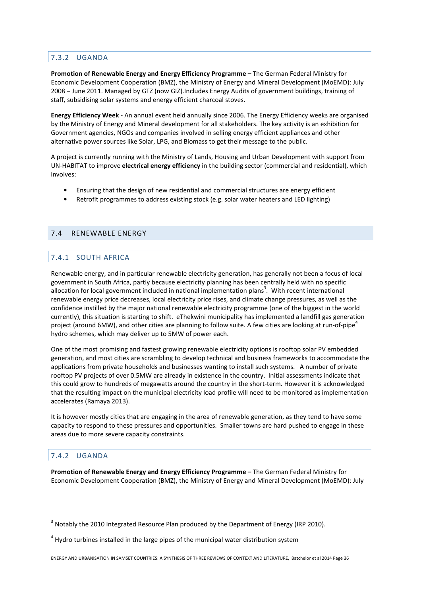### 7.3.2 UGANDA

**Promotion of Renewable Energy and Energy Efficiency Programme –** The German Federal Ministry for Economic Development Cooperation (BMZ), the Ministry of Energy and Mineral Development (MoEMD): July 2008 – June 2011. Managed by GTZ (now GIZ).Includes Energy Audits of government buildings, training of staff, subsidising solar systems and energy efficient charcoal stoves.

**Energy Efficiency Week** - An annual event held annually since 2006. The Energy Efficiency weeks are organised by the Ministry of Energy and Mineral development for all stakeholders. The key activity is an exhibition for Government agencies, NGOs and companies involved in selling energy efficient appliances and other alternative power sources like Solar, LPG, and Biomass to get their message to the public.

A project is currently running with the Ministry of Lands, Housing and Urban Development with support from UN-HABITAT to improve **electrical energy efficiency** in the building sector (commercial and residential), which involves:

- Ensuring that the design of new residential and commercial structures are energy efficient
- Retrofit programmes to address existing stock (e.g. solar water heaters and LED lighting)

### 7.4 RENEWABLE ENERGY

### 7.4.1 SOUTH AFRICA

Renewable energy, and in particular renewable electricity generation, has generally not been a focus of local government in South Africa, partly because electricity planning has been centrally held with no specific allocation for local government included in national implementation plans<sup>3</sup>. With recent international renewable energy price decreases, local electricity price rises, and climate change pressures, as well as the confidence instilled by the major national renewable electricity programme (one of the biggest in the world currently), this situation is starting to shift. eThekwini municipality has implemented a landfill gas generation project (around 6MW), and other cities are planning to follow suite. A few cities are looking at run-of-pipe<sup>4</sup> hydro schemes, which may deliver up to 5MW of power each.

One of the most promising and fastest growing renewable electricity options is rooftop solar PV embedded generation, and most cities are scrambling to develop technical and business frameworks to accommodate the applications from private households and businesses wanting to install such systems. A number of private rooftop PV projects of over 0.5MW are already in existence in the country. Initial assessments indicate that this could grow to hundreds of megawatts around the country in the short-term. However it is acknowledged that the resulting impact on the municipal electricity load profile will need to be monitored as implementation accelerates (Ramaya 2013).

It is however mostly cities that are engaging in the area of renewable generation, as they tend to have some capacity to respond to these pressures and opportunities. Smaller towns are hard pushed to engage in these areas due to more severe capacity constraints.

### 7.4.2 UGANDA

 $\overline{\phantom{a}}$ 

**Promotion of Renewable Energy and Energy Efficiency Programme –** The German Federal Ministry for Economic Development Cooperation (BMZ), the Ministry of Energy and Mineral Development (MoEMD): July

 $3$  Notably the 2010 Integrated Resource Plan produced by the Department of Energy (IRP 2010).

 $4$  Hydro turbines installed in the large pipes of the municipal water distribution system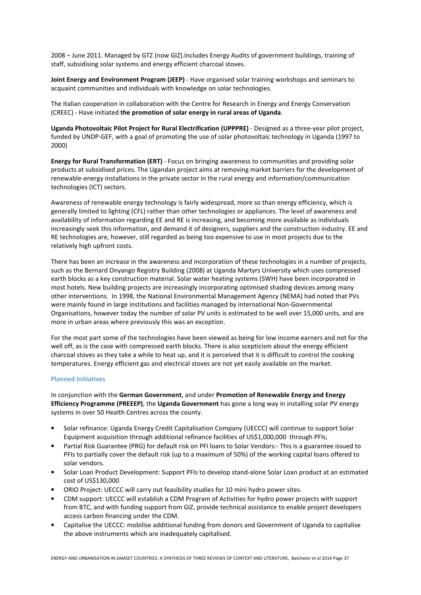2008 – June 2011. Managed by GTZ (now GIZ).Includes Energy Audits of government buildings, training of staff, subsidising solar systems and energy efficient charcoal stoves.

**Joint Energy and Environment Program (JEEP)** - Have organised solar training workshops and seminars to acquaint communities and individuals with knowledge on solar technologies.

The Italian cooperation in collaboration with the Centre for Research in Energy and Energy Conservation (CREEC) - Have initiated **the promotion of solar energy in rural areas of Uganda**.

**Uganda Photovoltaic Pilot Project for Rural Electrification (UPPPRE)** - Designed as a three-year pilot project, funded by UNDP-GEF, with a goal of promoting the use of solar photovoltaic technology in Uganda (1997 to 2000)

**Energy for Rural Transformation (ERT)** - Focus on bringing awareness to communities and providing solar products at subsidised prices. The Ugandan project aims at removing market barriers for the development of renewable-energy installations in the private sector in the rural energy and information/communication technologies (ICT) sectors.

Awareness of renewable energy technology is fairly widespread, more so than energy efficiency, which is generally limited to lighting (CFL) rather than other technologies or appliances. The level of awareness and availability of information regarding EE and RE is increasing, and becoming more available as individuals increasingly seek this information, and demand it of designers, suppliers and the construction industry. EE and RE technologies are, however, still regarded as being too expensive to use in most projects due to the relatively high upfront costs.

There has been an increase in the awareness and incorporation of these technologies in a number of projects, such as the Bernard Onyango Registry Building (2008) at Uganda Martyrs University which uses compressed earth blocks as a key construction material. Solar water heating systems (SWH) have been incorporated in most hotels. New building projects are increasingly incorporating optimised shading devices among many other interventions. In 1998, the National Environmental Management Agency (NEMA) had noted that PVs were mainly found in large institutions and facilities managed by international Non-Governmental Organisations, however today the number of solar PV units is estimated to be well over 15,000 units, and are more in urban areas where previously this was an exception.

For the most part some of the technologies have been viewed as being for low income earners and not for the well off, as is the case with compressed earth blocks. There is also scepticism about the energy efficient charcoal stoves as they take a while to heat up, and it is perceived that it is difficult to control the cooking temperatures. Energy efficient gas and electrical stoves are not yet easily available on the market.

#### **Planned Initiatives**

In conjunction with the **German Government**, and under **Promotion of Renewable Energy and Energy Efficiency Programme (PREEEP)**, the **Uganda Government** has gone a long way in installing solar PV energy systems in over 50 Health Centres across the county.

- Solar refinance: Uganda Energy Credit Capitalisation Company (UECCC) will continue to support Solar Equipment acquisition through additional refinance facilities of US\$1,000,000 through PFIs;
- Partial Risk Guarantee (PRG) for default risk on PFI loans to Solar Vendors:- This is a guarantee issued to PFIs to partially cover the default risk (up to a maximum of 50%) of the working capital loans offered to solar vendors.
- Solar Loan Product Development: Support PFIs to develop stand-alone Solar Loan product at an estimated cost of US\$130,000
- ORIO Project: UECCC will carry out feasibility studies for 10 mini hydro power sites.
- CDM support: UECCC will establish a CDM Program of Activities for hydro power projects with support from BTC, and with funding support from GIZ, provide technical assistance to enable project developers access carbon financing under the CDM.
- Capitalise the UECCC: mobilise additional funding from donors and Government of Uganda to capitalise the above instruments which are inadequately capitalised.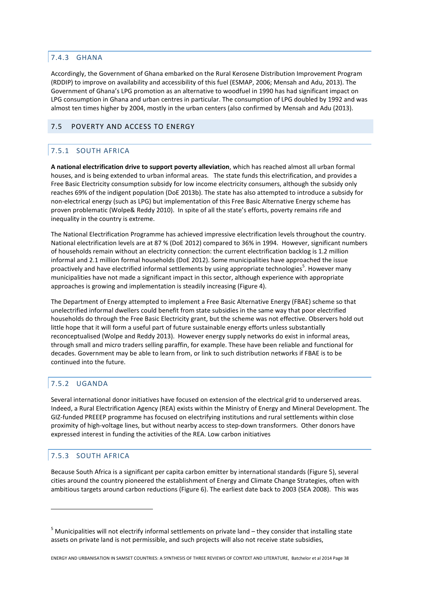### 7.4.3 GHANA

Accordingly, the Government of Ghana embarked on the Rural Kerosene Distribution Improvement Program (RDDIP) to improve on availability and accessibility of this fuel (ESMAP, 2006; Mensah and Adu, 2013). The Government of Ghana's LPG promotion as an alternative to woodfuel in 1990 has had significant impact on LPG consumption in Ghana and urban centres in particular. The consumption of LPG doubled by 1992 and was almost ten times higher by 2004, mostly in the urban centers (also confirmed by Mensah and Adu (2013).

### 7.5 POVERTY AND ACCESS TO ENERGY

# 7.5.1 SOUTH AFRICA

**A national electrification drive to support poverty alleviation**, which has reached almost all urban formal houses, and is being extended to urban informal areas. The state funds this electrification, and provides a Free Basic Electricity consumption subsidy for low income electricity consumers, although the subsidy only reaches 69% of the indigent population (DoE 2013b). The state has also attempted to introduce a subsidy for non-electrical energy (such as LPG) but implementation of this Free Basic Alternative Energy scheme has proven problematic (Wolpe& Reddy 2010). In spite of all the state's efforts, poverty remains rife and inequality in the country is extreme.

The National Electrification Programme has achieved impressive electrification levels throughout the country. National electrification levels are at 87 % (DoE 2012) compared to 36% in 1994. However, significant numbers of households remain without an electricity connection: the current electrification backlog is 1.2 million informal and 2.1 million formal households (DoE 2012). Some municipalities have approached the issue proactively and have electrified informal settlements by using appropriate technologies<sup>5</sup>. However many municipalities have not made a significant impact in this sector, although experience with appropriate approaches is growing and implementation is steadily increasing (Figure 4).

The Department of Energy attempted to implement a Free Basic Alternative Energy (FBAE) scheme so that unelectrified informal dwellers could benefit from state subsidies in the same way that poor electrified households do through the Free Basic Electricity grant, but the scheme was not effective. Observers hold out little hope that it will form a useful part of future sustainable energy efforts unless substantially reconceptualised (Wolpe and Reddy 2013). However energy supply networks do exist in informal areas, through small and micro traders selling paraffin, for example. These have been reliable and functional for decades. Government may be able to learn from, or link to such distribution networks if FBAE is to be continued into the future.

### 7.5.2 UGANDA

Several international donor initiatives have focused on extension of the electrical grid to underserved areas. Indeed, a Rural Electrification Agency (REA) exists within the Ministry of Energy and Mineral Development. The GIZ-funded PREEEP programme has focused on electrifying institutions and rural settlements within close proximity of high-voltage lines, but without nearby access to step-down transformers. Other donors have expressed interest in funding the activities of the REA. Low carbon initiatives

### 7.5.3 SOUTH AFRICA

 $\overline{\phantom{a}}$ 

Because South Africa is a significant per capita carbon emitter by international standards (Figure 5), several cities around the country pioneered the establishment of Energy and Climate Change Strategies, often with ambitious targets around carbon reductions (Figure 6). The earliest date back to 2003 (SEA 2008). This was

<sup>&</sup>lt;sup>5</sup> Municipalities will not electrify informal settlements on private land – they consider that installing state assets on private land is not permissible, and such projects will also not receive state subsidies,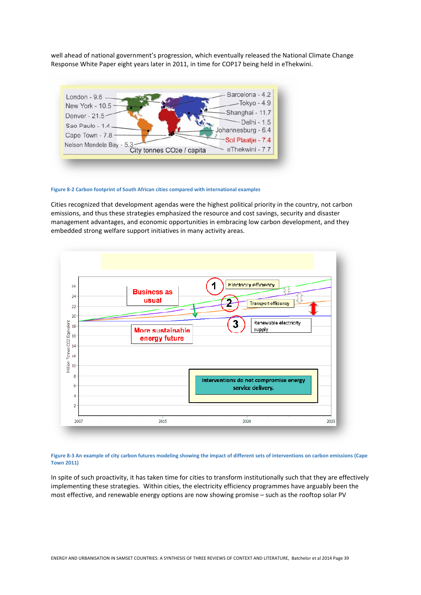well ahead of national government's progression, which eventually released the National Climate Change Response White Paper eight years later in 2011, in time for COP17 being held in eThekwini.



**Figure 8-2 Carbon footprint of South African cities compared with international examples** 

Cities recognized that development agendas were the highest political priority in the country, not carbon emissions, and thus these strategies emphasized the resource and cost savings, security and disaster management advantages, and economic opportunities in embracing low carbon development, and they embedded strong welfare support initiatives in many activity areas.



**Figure 8-3 An example of city carbon futures modeling showing the impact of different sets of interventions on carbon emissions (Cape Town 2011)** 

In spite of such proactivity, it has taken time for cities to transform institutionally such that they are effectively implementing these strategies. Within cities, the electricity efficiency programmes have arguably been the most effective, and renewable energy options are now showing promise – such as the rooftop solar PV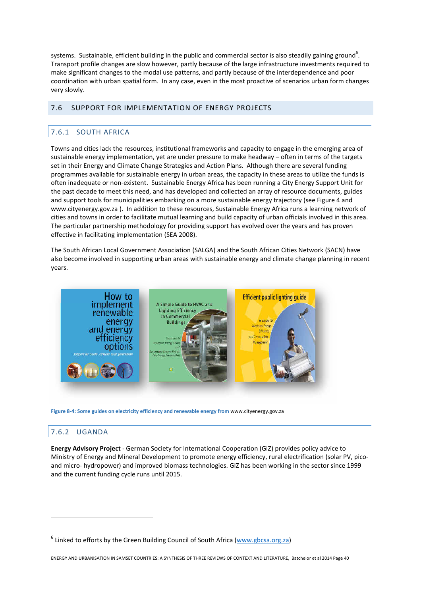systems. Sustainable, efficient building in the public and commercial sector is also steadily gaining ground<sup>6</sup>. Transport profile changes are slow however, partly because of the large infrastructure investments required to make significant changes to the modal use patterns, and partly because of the interdependence and poor coordination with urban spatial form. In any case, even in the most proactive of scenarios urban form changes very slowly.

### 7.6 SUPPORT FOR IMPLEMENTATION OF ENERGY PROJECTS

## 7.6.1 SOUTH AFRICA

Towns and cities lack the resources, institutional frameworks and capacity to engage in the emerging area of sustainable energy implementation, yet are under pressure to make headway – often in terms of the targets set in their Energy and Climate Change Strategies and Action Plans. Although there are several funding programmes available for sustainable energy in urban areas, the capacity in these areas to utilize the funds is often inadequate or non-existent. Sustainable Energy Africa has been running a City Energy Support Unit for the past decade to meet this need, and has developed and collected an array of resource documents, guides and support tools for municipalities embarking on a more sustainable energy trajectory (see Figure 4 and www.cityenergy.gov.za). In addition to these resources, Sustainable Energy Africa runs a learning network of cities and towns in order to facilitate mutual learning and build capacity of urban officials involved in this area. The particular partnership methodology for providing support has evolved over the years and has proven effective in facilitating implementation (SEA 2008).

The South African Local Government Association (SALGA) and the South African Cities Network (SACN) have also become involved in supporting urban areas with sustainable energy and climate change planning in recent years.



Figure 8-4: Some guides on electricity efficiency and renewable energy from www.cityenergy.gov.za

### 7.6.2 UGANDA

 $\overline{\phantom{a}}$ 

**Energy Advisory Project** - German Society for International Cooperation (GIZ) provides policy advice to Ministry of Energy and Mineral Development to promote energy efficiency, rural electrification (solar PV, picoand micro- hydropower) and improved biomass technologies. GIZ has been working in the sector since 1999 and the current funding cycle runs until 2015.

<sup>&</sup>lt;sup>6</sup> Linked to efforts by the Green Building Council of South Africa (www.gbcsa.org.za)